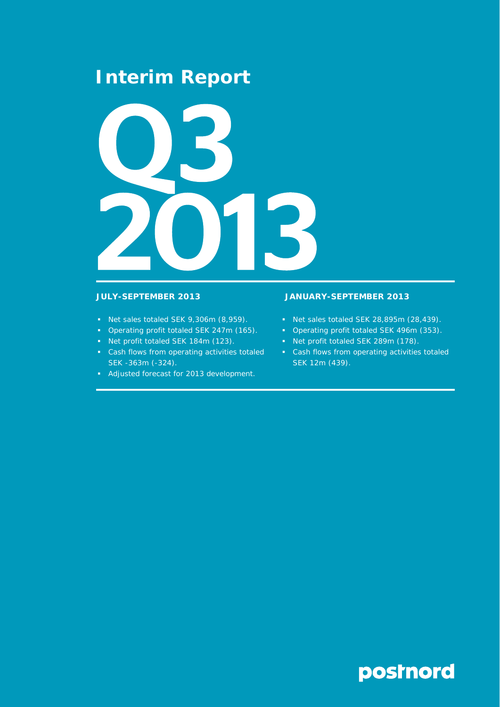## **Interim Report**



- Net sales totaled SEK 9,306m (8,959).
- Operating profit totaled SEK 247m (165).
- Net profit totaled SEK 184m (123).
- Cash flows from operating activities totaled SEK -363m (-324).
- Adjusted forecast for 2013 development.

## **JULY-SEPTEMBER 2013 JANUARY-SEPTEMBER 2013**

- Net sales totaled SEK 28,895m (28,439).
- Operating profit totaled SEK 496m (353).
- Net profit totaled SEK 289m (178).
- Cash flows from operating activities totaled SEK 12m (439).

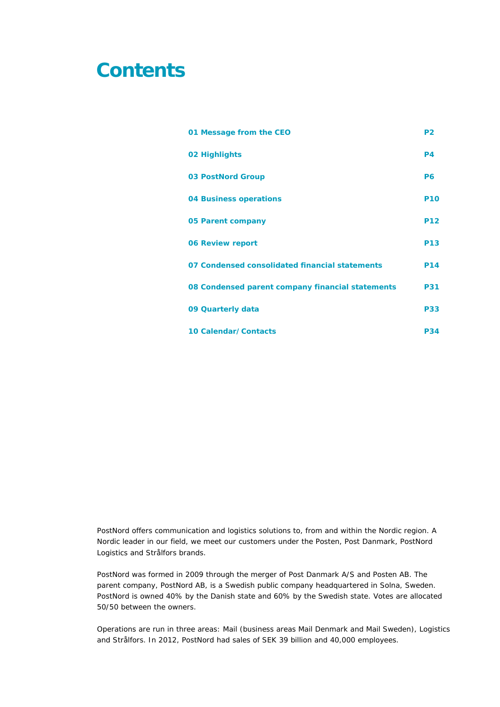## **Contents**

| 01 Message from the CEO                          | P <sub>2</sub> |
|--------------------------------------------------|----------------|
| 02 Highlights                                    | <b>P4</b>      |
| <b>03 PostNord Group</b>                         | P <sub>6</sub> |
| <b>04 Business operations</b>                    | <b>P10</b>     |
| 05 Parent company                                | <b>P12</b>     |
| <b>06 Review report</b>                          | <b>P13</b>     |
| 07 Condensed consolidated financial statements   | <b>P14</b>     |
| 08 Condensed parent company financial statements | <b>P31</b>     |
| 09 Quarterly data                                | <b>P33</b>     |
| 10 Calendar/Contacts                             | <b>P34</b>     |

PostNord offers communication and logistics solutions to, from and within the Nordic region. A Nordic leader in our field, we meet our customers under the Posten, Post Danmark, PostNord Logistics and Strålfors brands.

PostNord was formed in 2009 through the merger of Post Danmark A/S and Posten AB. The parent company, PostNord AB, is a Swedish public company headquartered in Solna, Sweden. PostNord is owned 40% by the Danish state and 60% by the Swedish state. Votes are allocated 50/50 between the owners.

Operations are run in three areas: Mail (business areas Mail Denmark and Mail Sweden), Logistics and Strålfors. In 2012, PostNord had sales of SEK 39 billion and 40,000 employees.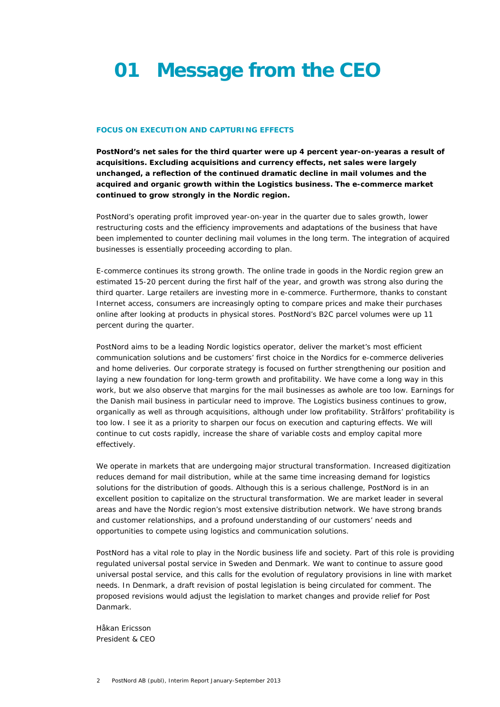# **01 Message from the CEO**

## **FOCUS ON EXECUTION AND CAPTURING EFFECTS**

**PostNord's net sales for the third quarter were up 4 percent year-on-yearas a result of acquisitions. Excluding acquisitions and currency effects, net sales were largely unchanged, a reflection of the continued dramatic decline in mail volumes and the acquired and organic growth within the Logistics business. The e-commerce market continued to grow strongly in the Nordic region.** 

PostNord's operating profit improved year-on-year in the quarter due to sales growth, lower restructuring costs and the efficiency improvements and adaptations of the business that have been implemented to counter declining mail volumes in the long term. The integration of acquired businesses is essentially proceeding according to plan.

E-commerce continues its strong growth. The online trade in goods in the Nordic region grew an estimated 15-20 percent during the first half of the year, and growth was strong also during the third quarter. Large retailers are investing more in e-commerce. Furthermore, thanks to constant Internet access, consumers are increasingly opting to compare prices and make their purchases online after looking at products in physical stores. PostNord's B2C parcel volumes were up 11 percent during the quarter.

PostNord aims to be a leading Nordic logistics operator, deliver the market's most efficient communication solutions and be customers' first choice in the Nordics for e-commerce deliveries and home deliveries. Our corporate strategy is focused on further strengthening our position and laying a new foundation for long-term growth and profitability. We have come a long way in this work, but we also observe that margins for the mail businesses as awhole are too low. Earnings for the Danish mail business in particular need to improve. The Logistics business continues to grow, organically as well as through acquisitions, although under low profitability. Strålfors' profitability is too low. I see it as a priority to sharpen our focus on execution and capturing effects. We will continue to cut costs rapidly, increase the share of variable costs and employ capital more effectively.

We operate in markets that are undergoing major structural transformation. Increased digitization reduces demand for mail distribution, while at the same time increasing demand for logistics solutions for the distribution of goods. Although this is a serious challenge, PostNord is in an excellent position to capitalize on the structural transformation. We are market leader in several areas and have the Nordic region's most extensive distribution network. We have strong brands and customer relationships, and a profound understanding of our customers' needs and opportunities to compete using logistics and communication solutions.

PostNord has a vital role to play in the Nordic business life and society. Part of this role is providing regulated universal postal service in Sweden and Denmark. We want to continue to assure good universal postal service, and this calls for the evolution of regulatory provisions in line with market needs. In Denmark, a draft revision of postal legislation is being circulated for comment. The proposed revisions would adjust the legislation to market changes and provide relief for Post Danmark.

*Håkan Ericsson President & CEO*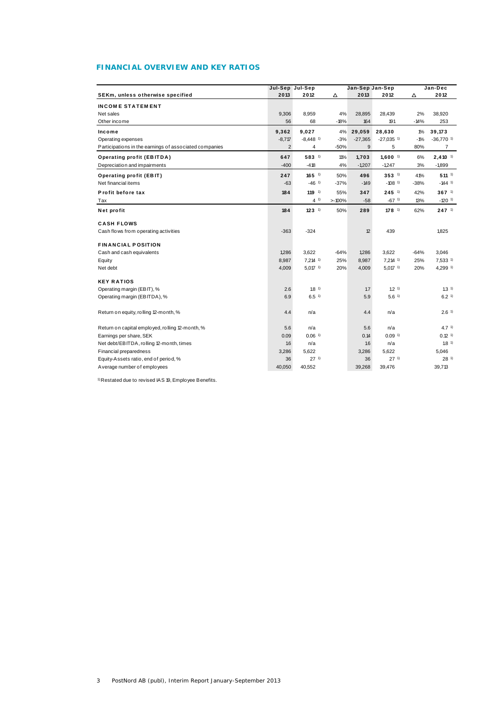## **FINANCIAL OVERVIEW AND KEY RATIOS**

|                                                        | Jul-Sep Jul-Sep |                        |          | Jan-Sep Jan-Sep |                         |        | Jan-Dec                 |  |  |
|--------------------------------------------------------|-----------------|------------------------|----------|-----------------|-------------------------|--------|-------------------------|--|--|
| SEKm, unless otherwise specified                       | 2013            | 2012                   | Δ        | 2013            | 2012                    | Δ      | 2012                    |  |  |
| <b>INCOME STATEMENT</b>                                |                 |                        |          |                 |                         |        |                         |  |  |
| Net sales                                              | 9,306           | 8,959                  | 4%       | 28,895          | 28,439                  | 2%     | 38,920                  |  |  |
| Other income                                           | 56              | 68                     | $-18%$   | 164             | 191                     | $-14%$ | 253                     |  |  |
| Income                                                 | 9,362           | 9,027                  | 4%       | 29,059          | 28,630                  | $1\%$  | 39,173                  |  |  |
| Operating expenses                                     | $-8,717$        | $-8,448$ <sup>1)</sup> | $-3%$    | $-27,365$       | $-27,035$ <sup>1)</sup> | $-1%$  | $-36,770$ <sup>1)</sup> |  |  |
| Participations in the earnings of associated companies | $\overline{2}$  | 4                      | $-50%$   | 9               | 5                       | 80%    | 7                       |  |  |
| <b>Operating profit (EBITDA)</b>                       | 647             | 583 1)                 | 11%      | 1,703           | $1,600$ <sup>1)</sup>   | 6%     | $2,410$ <sup>1)</sup>   |  |  |
| Depreciation and impairments                           | $-400$          | $-418$                 | 4%       | $-1,207$        | $-1,247$                | 3%     | $-1,899$                |  |  |
| Operating profit (EBIT)                                | 247             | $165$ <sup>1)</sup>    | 50%      | 496             | $353-1$                 | 41%    | $511^{-1}$              |  |  |
| Net financial items                                    | $-63$           | $-46$ <sup>1)</sup>    | $-37%$   | $-149$          | $-108$ <sup>1)</sup>    | $-38%$ | $-144$ <sup>1)</sup>    |  |  |
| Profit before tax                                      | 184             | $119-1$                | 55%      | 347             | $245$ <sup>1)</sup>     | 42%    | $367^{1}$               |  |  |
| Tax                                                    |                 | 41)                    | $>100\%$ | $-58$           | $-67$ <sup>1)</sup>     | 13%    | $-120$ <sup>1)</sup>    |  |  |
| Net profit                                             | 184             | $123$ <sup>1)</sup>    | 50%      | 289             | $178^{1}$               | 62%    | $247$ <sup>1)</sup>     |  |  |
| <b>CASH FLOWS</b>                                      |                 |                        |          |                 |                         |        |                         |  |  |
| Cash flows from operating activities                   | $-363$          | $-324$                 |          | 12              | 439                     |        | 1,825                   |  |  |
| <b>FINANCIAL POSITION</b>                              |                 |                        |          |                 |                         |        |                         |  |  |
| Cash and cash equivalents                              | 1,286           | 3,622                  | $-64%$   | 1,286           | 3.622                   | $-64%$ | 3,046                   |  |  |
| Equity                                                 | 8,987           | $7,214$ <sup>1)</sup>  | 25%      | 8,987           | $7.214$ <sup>1)</sup>   | 25%    | $7,533$ <sup>1)</sup>   |  |  |
| Net debt                                               | 4,009           | $5,017$ <sup>1)</sup>  | 20%      | 4,009           | $5,017$ 1)              | 20%    | 4,299 1)                |  |  |
| <b>KEY RATIOS</b>                                      |                 |                        |          |                 |                         |        |                         |  |  |
| Operating margin (EBIT), %                             | 2.6             | 1.8 <sup>1</sup>       |          | 1.7             | 1.2 <sup>1</sup>        |        | 1.3 <sup>1</sup>        |  |  |
| Operating margin (EBITDA), %                           | 6.9             | 6.5 <sup>1</sup>       |          | 5.9             | 5.6 <sup>1</sup>        |        | 6.2 <sup>1</sup>        |  |  |
| Return on equity, rolling 12-month, %                  | 4.4             | n/a                    |          | 4.4             | n/a                     |        | 2.6 <sup>1</sup>        |  |  |
| Return on capital employed, rolling 12-month, %        | 5.6             | n/a                    |          | 5.6             | n/a                     |        | 4.7 <sup>1</sup>        |  |  |
| Earnings per share, SEK                                | 0.09            | $0.06$ <sup>1)</sup>   |          | 0.14            | $0.09$ <sup>1)</sup>    |        | $0.12$ <sup>1)</sup>    |  |  |
| Net debt/EBITDA, rolling 12-month, times               | 1.6             | n/a                    |          | 16              | n/a                     |        | 1.8 <sup>1</sup>        |  |  |
| Financial preparedness                                 | 3,286           | 5,622                  |          | 3,286           | 5.622                   |        | 5.046                   |  |  |
| Equity-Assets ratio, end of period, %                  | 36              | 27 <sup>1</sup>        |          | 36              | 27 <sup>1</sup>         |        | 28 <sup>1</sup>         |  |  |
| Average number of employees                            | 40,050          | 40,552                 |          | 39,268          | 39,476                  |        | 39,713                  |  |  |

1) Restated due to revised IAS 19, Employee Benefits.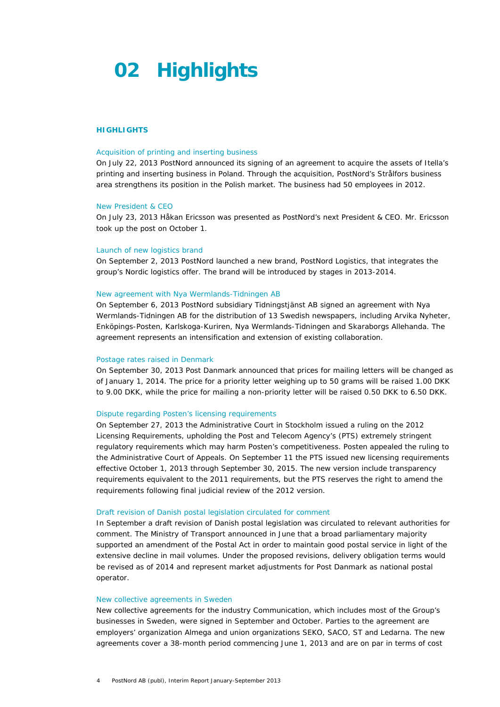## **02 Highlights**

## **HIGHLIGHTS**

#### Acquisition of printing and inserting business

On July 22, 2013 PostNord announced its signing of an agreement to acquire the assets of Itella's printing and inserting business in Poland. Through the acquisition, PostNord's Strålfors business area strengthens its position in the Polish market. The business had 50 employees in 2012.

## New President & CEO

On July 23, 2013 Håkan Ericsson was presented as PostNord's next President & CEO. Mr. Ericsson took up the post on October 1.

#### Launch of new logistics brand

On September 2, 2013 PostNord launched a new brand, PostNord Logistics, that integrates the group's Nordic logistics offer. The brand will be introduced by stages in 2013-2014.

## New agreement with Nya Wermlands-Tidningen AB

On September 6, 2013 PostNord subsidiary Tidningstjänst AB signed an agreement with Nya Wermlands-Tidningen AB for the distribution of 13 Swedish newspapers, including Arvika Nyheter, Enköpings-Posten, Karlskoga-Kuriren, Nya Wermlands-Tidningen and Skaraborgs Allehanda. The agreement represents an intensification and extension of existing collaboration.

#### Postage rates raised in Denmark

On September 30, 2013 Post Danmark announced that prices for mailing letters will be changed as of January 1, 2014. The price for a priority letter weighing up to 50 grams will be raised 1.00 DKK to 9.00 DKK, while the price for mailing a non-priority letter will be raised 0.50 DKK to 6.50 DKK.

## Dispute regarding Posten's licensing requirements

On September 27, 2013 the Administrative Court in Stockholm issued a ruling on the 2012 Licensing Requirements, upholding the Post and Telecom Agency's (PTS) extremely stringent regulatory requirements which may harm Posten's competitiveness. Posten appealed the ruling to the Administrative Court of Appeals. On September 11 the PTS issued new licensing requirements effective October 1, 2013 through September 30, 2015. The new version include transparency requirements equivalent to the 2011 requirements, but the PTS reserves the right to amend the requirements following final judicial review of the 2012 version.

### Draft revision of Danish postal legislation circulated for comment

In September a draft revision of Danish postal legislation was circulated to relevant authorities for comment. The Ministry of Transport announced in June that a broad parliamentary majority supported an amendment of the Postal Act in order to maintain good postal service in light of the extensive decline in mail volumes. Under the proposed revisions, delivery obligation terms would be revised as of 2014 and represent market adjustments for Post Danmark as national postal operator.

## New collective agreements in Sweden

New collective agreements for the industry Communication, which includes most of the Group's businesses in Sweden, were signed in September and October. Parties to the agreement are employers' organization Almega and union organizations SEKO, SACO, ST and Ledarna. The new agreements cover a 38-month period commencing June 1, 2013 and are on par in terms of cost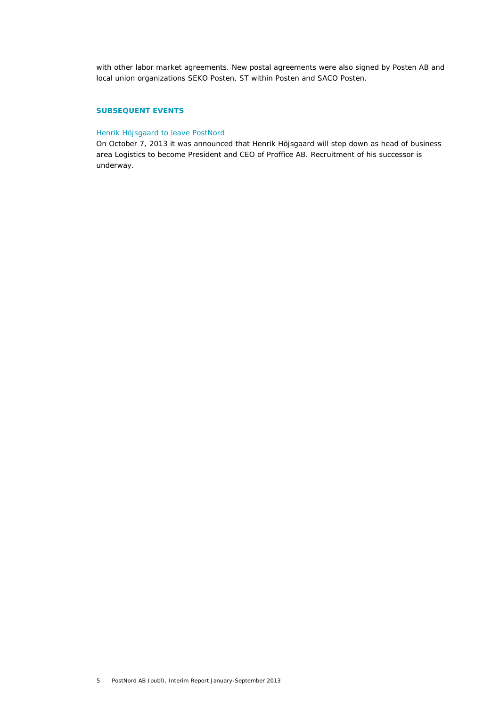with other labor market agreements. New postal agreements were also signed by Posten AB and local union organizations SEKO Posten, ST within Posten and SACO Posten.

## **SUBSEQUENT EVENTS**

## Henrik Höjsgaard to leave PostNord

On October 7, 2013 it was announced that Henrik Höjsgaard will step down as head of business area Logistics to become President and CEO of Proffice AB. Recruitment of his successor is underway.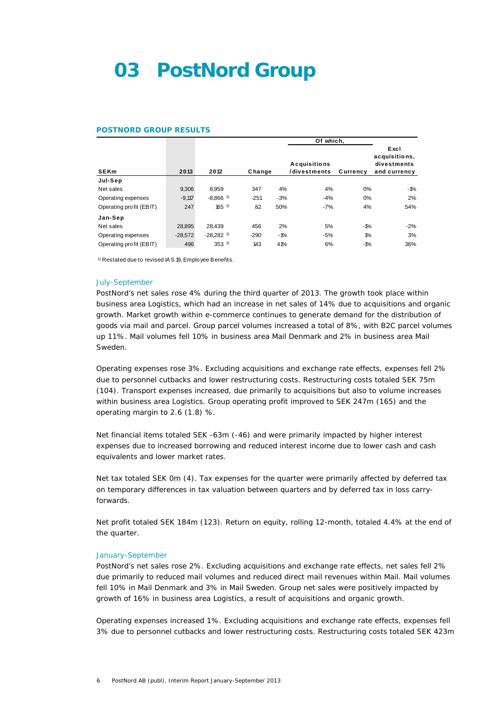## **03 PostNord Group**

#### **POSTNORD GROUP RESULTS**

|                         |           |                         |        |       | Of which,                           |          |                                                      |
|-------------------------|-----------|-------------------------|--------|-------|-------------------------------------|----------|------------------------------------------------------|
| <b>SEKm</b>             | 2013      | 2012                    | Change |       | <b>Acquisitions</b><br>/divestments | Currency | Excl<br>acquisitions,<br>divestments<br>and currency |
| Jul-Sep                 |           |                         |        |       |                                     |          |                                                      |
| Net sales               | 9,306     | 8.959                   | 347    | 4%    | 4%                                  | 0%       | $-1%$                                                |
| Operating expenses      | $-9.117$  | $-8.866$ <sup>1)</sup>  | $-251$ | $-3%$ | $-4%$                               | 0%       | 2%                                                   |
| Operating profit (EBIT) | 247       | $165^{1}$               | 82     | 50%   | $-7%$                               | 4%       | 54%                                                  |
| Jan-Sep                 |           |                         |        |       |                                     |          |                                                      |
| Net sales               | 28.895    | 28.439                  | 456    | 2%    | 5%                                  | $-1%$    | $-2%$                                                |
| Operating expenses      | $-28.572$ | $-28.282$ <sup>1)</sup> | $-290$ | $-1%$ | $-5%$                               | $1\%$    | 3%                                                   |
| Operating profit (EBIT) | 496       | $353^{1}$               | 143    | 41%   | 6%                                  | $-1%$    | 36%                                                  |

1) Restated due to revised IAS 19, Employee Benefits.

#### July-September

PostNord's net sales rose 4% during the third quarter of 2013. The growth took place within business area Logistics, which had an increase in net sales of 14% due to acquisitions and organic growth. Market growth within e-commerce continues to generate demand for the distribution of goods via mail and parcel. Group parcel volumes increased a total of 8%, with B2C parcel volumes up 11%. Mail volumes fell 10% in business area Mail Denmark and 2% in business area Mail Sweden.

Operating expenses rose 3%. Excluding acquisitions and exchange rate effects, expenses fell 2% due to personnel cutbacks and lower restructuring costs. Restructuring costs totaled SEK 75m (104). Transport expenses increased, due primarily to acquisitions but also to volume increases within business area Logistics. Group operating profit improved to SEK 247m (165) and the operating margin to 2.6 (1.8) %.

Net financial items totaled SEK -63m (-46) and were primarily impacted by higher interest expenses due to increased borrowing and reduced interest income due to lower cash and cash equivalents and lower market rates.

Net tax totaled SEK 0m (4). Tax expenses for the quarter were primarily affected by deferred tax on temporary differences in tax valuation between quarters and by deferred tax in loss carryforwards.

Net profit totaled SEK 184m (123). Return on equity, rolling 12-month, totaled 4.4% at the end of the quarter.

### January-September

PostNord's net sales rose 2%. Excluding acquisitions and exchange rate effects, net sales fell 2% due primarily to reduced mail volumes and reduced direct mail revenues within Mail. Mail volumes fell 10% in Mail Denmark and 3% in Mail Sweden. Group net sales were positively impacted by growth of 16% in business area Logistics, a result of acquisitions and organic growth.

Operating expenses increased 1%. Excluding acquisitions and exchange rate effects, expenses fell 3% due to personnel cutbacks and lower restructuring costs. Restructuring costs totaled SEK 423m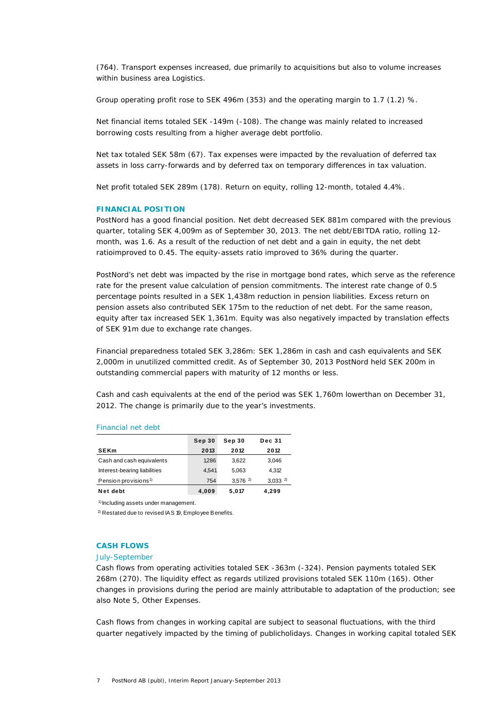(764). Transport expenses increased, due primarily to acquisitions but also to volume increases within business area Logistics.

Group operating profit rose to SEK 496m (353) and the operating margin to 1.7 (1.2) %.

Net financial items totaled SEK -149m (-108). The change was mainly related to increased borrowing costs resulting from a higher average debt portfolio.

Net tax totaled SEK 58m (67). Tax expenses were impacted by the revaluation of deferred tax assets in loss carry-forwards and by deferred tax on temporary differences in tax valuation.

Net profit totaled SEK 289m (178). Return on equity, rolling 12-month, totaled 4.4%.

## **FINANCIAL POSITION**

PostNord has a good financial position. Net debt decreased SEK 881m compared with the previous quarter, totaling SEK 4,009m as of September 30, 2013. The net debt/EBITDA ratio, rolling 12 month, was 1.6. As a result of the reduction of net debt and a gain in equity, the net debt ratioimproved to 0.45. The equity-assets ratio improved to 36% during the quarter.

PostNord's net debt was impacted by the rise in mortgage bond rates, which serve as the reference rate for the present value calculation of pension commitments. The interest rate change of 0.5 percentage points resulted in a SEK 1,438m reduction in pension liabilities. Excess return on pension assets also contributed SEK 175m to the reduction of net debt. For the same reason, equity after tax increased SEK 1,361m. Equity was also negatively impacted by translation effects of SEK 91m due to exchange rate changes.

Financial preparedness totaled SEK 3,286m: SEK 1,286m in cash and cash equivalents and SEK 2,000m in unutilized committed credit. As of September 30, 2013 PostNord held SEK 200m in outstanding commercial papers with maturity of 12 months or less.

Cash and cash equivalents at the end of the period was SEK 1,760m lowerthan on December 31, 2012. The change is primarily due to the year's investments.

## Financial net debt

|                                  | Sep 30 | Sep 30                | <b>Dec 31</b> |
|----------------------------------|--------|-----------------------|---------------|
| <b>SEKm</b>                      | 2013   | 2012                  | 2012          |
| Cash and cash equivalents        | 1286   | 3.622                 | 3.046         |
| Interest-bearing liabilities     | 4.541  | 5.063                 | 4.312         |
| Pension provisions <sup>1)</sup> | 754    | $3.576$ <sup>2)</sup> | $3,033^{2}$   |
| Net debt                         | 4,009  | 5.017                 | 4.299         |

1) Including assets under management.

2) Restated due to revised IAS 19, Employee Benefits.

## **CASH FLOWS**

## July-September

Cash flows from operating activities totaled SEK -363m (-324). Pension payments totaled SEK 268m (270). The liquidity effect as regards utilized provisions totaled SEK 110m (165). Other changes in provisions during the period are mainly attributable to adaptation of the production; see also Note 5, Other Expenses.

Cash flows from changes in working capital are subject to seasonal fluctuations, with the third quarter negatively impacted by the timing of publicholidays. Changes in working capital totaled SEK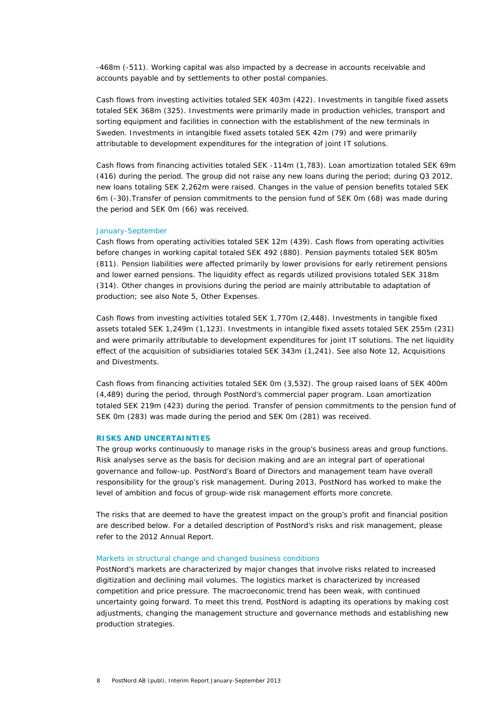-468m (-511). Working capital was also impacted by a decrease in accounts receivable and accounts payable and by settlements to other postal companies.

Cash flows from investing activities totaled SEK 403m (422). Investments in tangible fixed assets totaled SEK 368m (325). Investments were primarily made in production vehicles, transport and sorting equipment and facilities in connection with the establishment of the new terminals in Sweden. Investments in intangible fixed assets totaled SEK 42m (79) and were primarily attributable to development expenditures for the integration of joint IT solutions.

Cash flows from financing activities totaled SEK -114m (1,783). Loan amortization totaled SEK 69m (416) during the period. The group did not raise any new loans during the period; during Q3 2012, new loans totaling SEK 2,262m were raised. Changes in the value of pension benefits totaled SEK 6m (-30).Transfer of pension commitments to the pension fund of SEK 0m (68) was made during the period and SEK 0m (66) was received.

#### January-September

Cash flows from operating activities totaled SEK 12m (439). Cash flows from operating activities before changes in working capital totaled SEK 492 (880). Pension payments totaled SEK 805m (811). Pension liabilities were affected primarily by lower provisions for early retirement pensions and lower earned pensions. The liquidity effect as regards utilized provisions totaled SEK 318m (314). Other changes in provisions during the period are mainly attributable to adaptation of production; see also Note 5, Other Expenses.

Cash flows from investing activities totaled SEK 1,770m (2,448). Investments in tangible fixed assets totaled SEK 1,249m (1,123). Investments in intangible fixed assets totaled SEK 255m (231) and were primarily attributable to development expenditures for joint IT solutions. The net liquidity effect of the acquisition of subsidiaries totaled SEK 343m (1,241). See also Note 12, Acquisitions and Divestments.

Cash flows from financing activities totaled SEK 0m (3,532). The group raised loans of SEK 400m (4,489) during the period, through PostNord's commercial paper program. Loan amortization totaled SEK 219m (423) during the period. Transfer of pension commitments to the pension fund of SEK 0m (283) was made during the period and SEK 0m (281) was received.

### **RISKS AND UNCERTAINTIES**

The group works continuously to manage risks in the group's business areas and group functions. Risk analyses serve as the basis for decision making and are an integral part of operational governance and follow-up. PostNord's Board of Directors and management team have overall responsibility for the group's risk management. During 2013, PostNord has worked to make the level of ambition and focus of group-wide risk management efforts more concrete.

The risks that are deemed to have the greatest impact on the group's profit and financial position are described below. For a detailed description of PostNord's risks and risk management, please refer to the 2012 Annual Report.

## Markets in structural change and changed business conditions

PostNord's markets are characterized by major changes that involve risks related to increased digitization and declining mail volumes. The logistics market is characterized by increased competition and price pressure. The macroeconomic trend has been weak, with continued uncertainty going forward. To meet this trend, PostNord is adapting its operations by making cost adjustments, changing the management structure and governance methods and establishing new production strategies.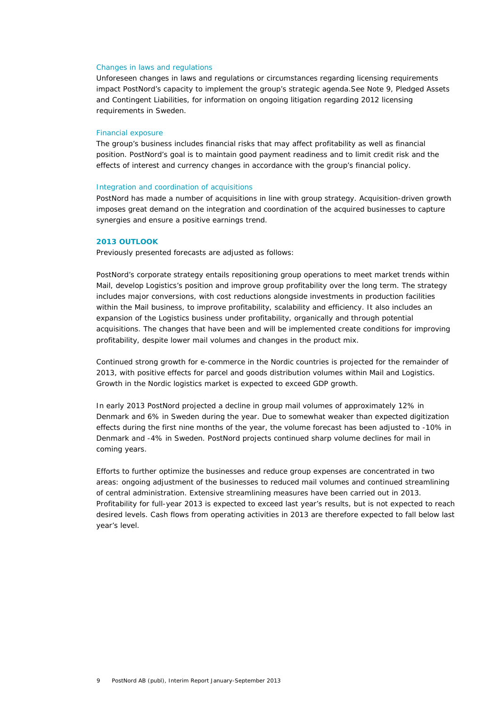#### Changes in laws and regulations

Unforeseen changes in laws and regulations or circumstances regarding licensing requirements impact PostNord's capacity to implement the group's strategic agenda.See Note 9, Pledged Assets and Contingent Liabilities, for information on ongoing litigation regarding 2012 licensing requirements in Sweden.

## Financial exposure

The group's business includes financial risks that may affect profitability as well as financial position. PostNord's goal is to maintain good payment readiness and to limit credit risk and the effects of interest and currency changes in accordance with the group's financial policy.

## Integration and coordination of acquisitions

PostNord has made a number of acquisitions in line with group strategy. Acquisition-driven growth imposes great demand on the integration and coordination of the acquired businesses to capture synergies and ensure a positive earnings trend.

## **2013 OUTLOOK**

Previously presented forecasts are adjusted as follows:

PostNord's corporate strategy entails repositioning group operations to meet market trends within Mail, develop Logistics's position and improve group profitability over the long term. The strategy includes major conversions, with cost reductions alongside investments in production facilities within the Mail business, to improve profitability, scalability and efficiency. It also includes an expansion of the Logistics business under profitability, organically and through potential acquisitions. The changes that have been and will be implemented create conditions for improving profitability, despite lower mail volumes and changes in the product mix.

Continued strong growth for e-commerce in the Nordic countries is projected for the remainder of 2013, with positive effects for parcel and goods distribution volumes within Mail and Logistics. Growth in the Nordic logistics market is expected to exceed GDP growth.

In early 2013 PostNord projected a decline in group mail volumes of approximately 12% in Denmark and 6% in Sweden during the year. Due to somewhat weaker than expected digitization effects during the first nine months of the year, the volume forecast has been adjusted to -10% in Denmark and -4% in Sweden. PostNord projects continued sharp volume declines for mail in coming years.

Efforts to further optimize the businesses and reduce group expenses are concentrated in two areas: ongoing adjustment of the businesses to reduced mail volumes and continued streamlining of central administration. Extensive streamlining measures have been carried out in 2013. Profitability for full-year 2013 is expected to exceed last year's results, but is not expected to reach desired levels. Cash flows from operating activities in 2013 are therefore expected to fall below last year's level.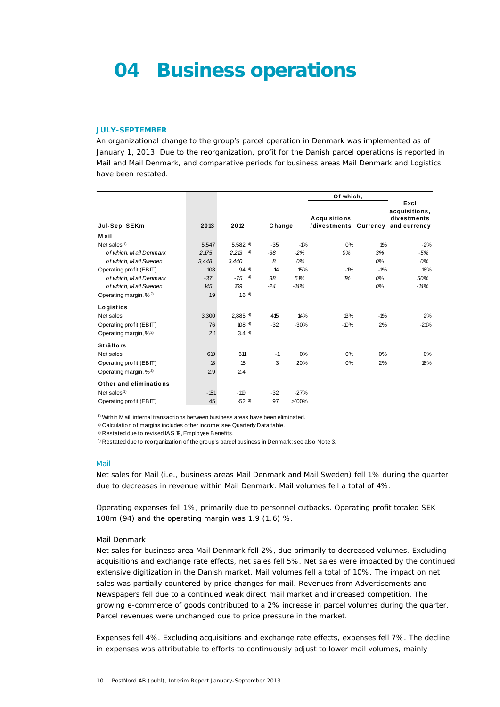## **04 Business operations**

### **JULY-SEPTEMBER**

An organizational change to the group's parcel operation in Denmark was implemented as of January 1, 2013. Due to the reorganization, profit for the Danish parcel operations is reported in Mail and Mail Denmark, and comparative periods for business areas Mail Denmark and Logistics have been restated.

|                                   |        |                       |        |          | Of which,                                          |       |                                      |
|-----------------------------------|--------|-----------------------|--------|----------|----------------------------------------------------|-------|--------------------------------------|
| Jul-Sep, SEKm                     | 2013   | 2012                  | Change |          | Acquisitions<br>/divestments Currency and currency |       | Excl<br>acquisitions,<br>divestments |
| Mail                              |        |                       |        |          |                                                    |       |                                      |
| Net sales <sup>1)</sup>           | 5.547  | $5.582$ <sup>4)</sup> | $-35$  | $-1%$    | 0%                                                 | $1\%$ | $-2%$                                |
| of which, Mail Denmark            | 2,175  | $2,213$ 4)            | $-38$  | $-2%$    | 0%                                                 | 3%    | $-5%$                                |
| of which, Mail Sweden             | 3,448  | 3,440                 | 8      | 0%       |                                                    | 0%    | 0%                                   |
| Operating profit (EBIT)           | 108    | $94^{4}$              | 14     | 15%      | $-1%$                                              | $-1%$ | 18%                                  |
| of which, Mail Denmark            | $-37$  | $-75 - 4$             | 38     | 51%      | 1%                                                 | 0%    | 50%                                  |
| of which, Mail Sweden             | 145    | 169                   | $-24$  | $-14%$   |                                                    | 0%    | $-14%$                               |
| Operating margin, % <sup>2)</sup> | 1.9    | 1.64                  |        |          |                                                    |       |                                      |
| Logistics                         |        |                       |        |          |                                                    |       |                                      |
| Net sales                         | 3,300  | $2,885$ <sup>4)</sup> | 415    | 14%      | 13%                                                | $-1%$ | 2%                                   |
| Operating profit (EBIT)           | 76     | $108^{4}$             | $-32$  | $-30%$   | $-10%$                                             | 2%    | $-21%$                               |
| Operating margin, % <sup>2)</sup> | 2.1    | $3.4^{4}$             |        |          |                                                    |       |                                      |
| <b>Strålfors</b>                  |        |                       |        |          |                                                    |       |                                      |
| Net sales                         | 610    | 611                   | $-1$   | 0%       | 0%                                                 | 0%    | 0%                                   |
| Operating profit (EBIT)           | 18     | 15                    | 3      | 20%      | 0%                                                 | 2%    | 18%                                  |
| Operating margin, % <sup>2)</sup> | 2.9    | 2.4                   |        |          |                                                    |       |                                      |
| Other and eliminations            |        |                       |        |          |                                                    |       |                                      |
| Net sales $1$                     | $-151$ | $-119$                | $-32$  | $-27%$   |                                                    |       |                                      |
| Operating profit (EBIT)           | 45     | $-52^{3}$             | 97     | $>100\%$ |                                                    |       |                                      |

1) Within M ail, internal transactions between business areas have been eliminated.

<sup>2)</sup> Calculation of margins includes other income; see Quarterly Data table.

3) Restated due to revised IAS 19, Employee Benefits.

4) Restated due to reorganization of the group's parcel business in Denmark; see also Note 3.

#### Mail

Net sales for Mail (i.e., business areas Mail Denmark and Mail Sweden) fell 1% during the quarter due to decreases in revenue within Mail Denmark. Mail volumes fell a total of 4%.

Operating expenses fell 1%, primarily due to personnel cutbacks. Operating profit totaled SEK 108m (94) and the operating margin was 1.9 (1.6) %.

## *Mail Denmark*

Net sales for business area Mail Denmark fell 2%, due primarily to decreased volumes. Excluding acquisitions and exchange rate effects, net sales fell 5%. Net sales were impacted by the continued extensive digitization in the Danish market. Mail volumes fell a total of 10%. The impact on net sales was partially countered by price changes for mail. Revenues from Advertisements and Newspapers fell due to a continued weak direct mail market and increased competition. The growing e-commerce of goods contributed to a 2% increase in parcel volumes during the quarter. Parcel revenues were unchanged due to price pressure in the market.

Expenses fell 4%. Excluding acquisitions and exchange rate effects, expenses fell 7%. The decline in expenses was attributable to efforts to continuously adjust to lower mail volumes, mainly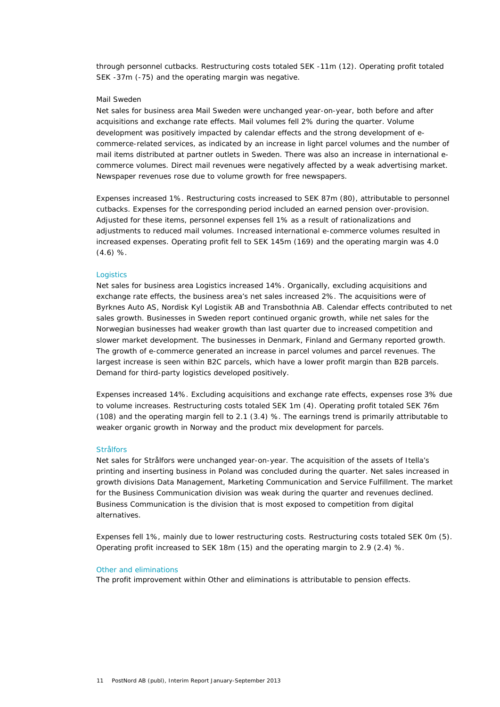through personnel cutbacks. Restructuring costs totaled SEK -11m (12). Operating profit totaled SEK -37m (-75) and the operating margin was negative.

#### *Mail Sweden*

Net sales for business area Mail Sweden were unchanged year-on-year, both before and after acquisitions and exchange rate effects. Mail volumes fell 2% during the quarter. Volume development was positively impacted by calendar effects and the strong development of ecommerce-related services, as indicated by an increase in light parcel volumes and the number of mail items distributed at partner outlets in Sweden. There was also an increase in international ecommerce volumes. Direct mail revenues were negatively affected by a weak advertising market. Newspaper revenues rose due to volume growth for free newspapers.

Expenses increased 1%. Restructuring costs increased to SEK 87m (80), attributable to personnel cutbacks. Expenses for the corresponding period included an earned pension over-provision. Adjusted for these items, personnel expenses fell 1% as a result of rationalizations and adjustments to reduced mail volumes. Increased international e-commerce volumes resulted in increased expenses. Operating profit fell to SEK 145m (169) and the operating margin was 4.0 (4.6) %.

## **Logistics**

Net sales for business area Logistics increased 14%. Organically, excluding acquisitions and exchange rate effects, the business area's net sales increased 2%. The acquisitions were of Byrknes Auto AS, Nordisk Kyl Logistik AB and Transbothnia AB. Calendar effects contributed to net sales growth. Businesses in Sweden report continued organic growth, while net sales for the Norwegian businesses had weaker growth than last quarter due to increased competition and slower market development. The businesses in Denmark, Finland and Germany reported growth. The growth of e-commerce generated an increase in parcel volumes and parcel revenues. The largest increase is seen within B2C parcels, which have a lower profit margin than B2B parcels. Demand for third-party logistics developed positively.

Expenses increased 14%. Excluding acquisitions and exchange rate effects, expenses rose 3% due to volume increases. Restructuring costs totaled SEK 1m (4). Operating profit totaled SEK 76m (108) and the operating margin fell to 2.1 (3.4) %. The earnings trend is primarily attributable to weaker organic growth in Norway and the product mix development for parcels.

#### Strålfors

Net sales for Strålfors were unchanged year-on-year. The acquisition of the assets of Itella's printing and inserting business in Poland was concluded during the quarter. Net sales increased in growth divisions Data Management, Marketing Communication and Service Fulfillment. The market for the Business Communication division was weak during the quarter and revenues declined. Business Communication is the division that is most exposed to competition from digital alternatives.

Expenses fell 1%, mainly due to lower restructuring costs. Restructuring costs totaled SEK 0m (5). Operating profit increased to SEK 18m (15) and the operating margin to 2.9 (2.4) %.

### Other and eliminations

The profit improvement within Other and eliminations is attributable to pension effects.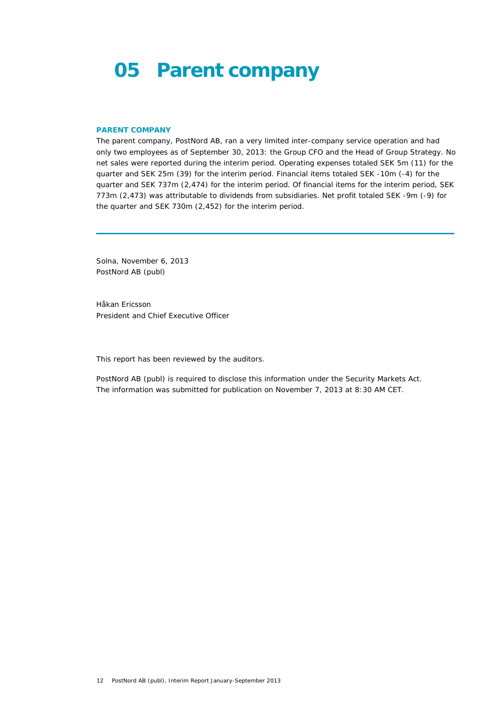## **05 Parent company**

## **PARENT COMPANY**

The parent company, PostNord AB, ran a very limited inter-company service operation and had only two employees as of September 30, 2013: the Group CFO and the Head of Group Strategy. No net sales were reported during the interim period. Operating expenses totaled SEK 5m (11) for the quarter and SEK 25m (39) for the interim period. Financial items totaled SEK -10m (-4) for the quarter and SEK 737m (2,474) for the interim period. Of financial items for the interim period, SEK 773m (2,473) was attributable to dividends from subsidiaries. Net profit totaled SEK -9m (-9) for the quarter and SEK 730m (2,452) for the interim period.

Solna, November 6, 2013 PostNord AB (publ)

Håkan Ericsson *President and Chief Executive Officer* 

This report has been reviewed by the auditors.

PostNord AB (publ) is required to disclose this information under the Security Markets Act. The information was submitted for publication on November 7, 2013 at 8:30 AM CET.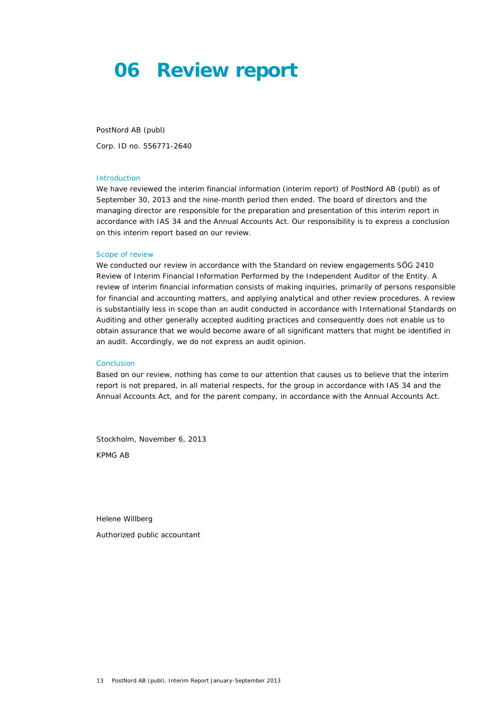## **06 Review report**

PostNord AB (publ) Corp. ID no. 556771-2640

### Introduction

We have reviewed the interim financial information (interim report) of PostNord AB (publ) as of September 30, 2013 and the nine-month period then ended. The board of directors and the managing director are responsible for the preparation and presentation of this interim report in accordance with IAS 34 and the Annual Accounts Act. Our responsibility is to express a conclusion on this interim report based on our review.

#### Scope of review

We conducted our review in accordance with the Standard on review engagements SÖG 2410 Review of Interim Financial Information Performed by the Independent Auditor of the Entity. A review of interim financial information consists of making inquiries, primarily of persons responsible for financial and accounting matters, and applying analytical and other review procedures. A review is substantially less in scope than an audit conducted in accordance with International Standards on Auditing and other generally accepted auditing practices and consequently does not enable us to obtain assurance that we would become aware of all significant matters that might be identified in an audit. Accordingly, we do not express an audit opinion.

#### Conclusion

Based on our review, nothing has come to our attention that causes us to believe that the interim report is not prepared, in all material respects, for the group in accordance with IAS 34 and the Annual Accounts Act, and for the parent company, in accordance with the Annual Accounts Act.

Stockholm, November 6, 2013 KPMG AB

Helene Willberg

*Authorized public accountant*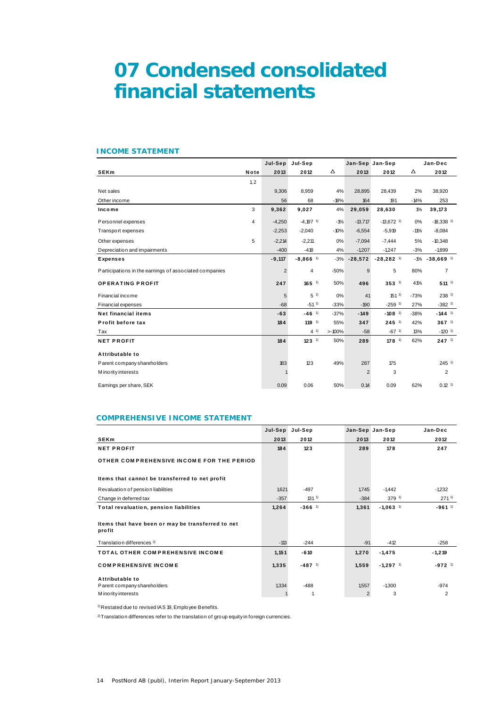## **07 Condensed consolidated financial statements**

## **INCOME STATEMENT**

|                                                        |      | Jul-Sep        | Jul-Sep                |        |           | Jan-Sep Jan-Sep         | Jan-Dec |                         |
|--------------------------------------------------------|------|----------------|------------------------|--------|-----------|-------------------------|---------|-------------------------|
| <b>SEKm</b>                                            | Note | 2013           | 2012                   | Δ      | 2013      | 2012                    | Δ       | 2012                    |
|                                                        | 1, 2 |                |                        |        |           |                         |         |                         |
| Net sales                                              |      | 9,306          | 8,959                  | 4%     | 28,895    | 28,439                  | 2%      | 38,920                  |
| Other income                                           |      | 56             | 68                     | $-18%$ | 164       | 191                     | $-14%$  | 253                     |
| Income                                                 | 3    | 9,362          | 9,027                  | 4%     | 29,059    | 28,630                  | $1\%$   | 39,173                  |
| Personnel expenses                                     | 4    | $-4,250$       | $-4.197$ <sup>1)</sup> | $-1%$  | $-13,717$ | $-13,672$ <sup>1)</sup> | 0%      | $-18,338$ <sup>1)</sup> |
| Transport expenses                                     |      | $-2,253$       | $-2,040$               | $-10%$ | $-6,554$  | $-5,919$                | $-11%$  | $-8,084$                |
| Other expenses                                         | 5    | $-2,214$       | $-2,211$               | 0%     | $-7,094$  | $-7,444$                | 5%      | $-10,348$               |
| Depreciation and impairments                           |      | $-400$         | $-418$                 | 4%     | $-1,207$  | $-1,247$                | $-3%$   | $-1,899$                |
| <b>Expenses</b>                                        |      | $-9,117$       | $-8,866$ <sup>1)</sup> | $-3%$  | $-28,572$ | $-28,282$ <sup>1)</sup> | $-1%$   | $-38,669$ <sup>1)</sup> |
| Participations in the earnings of associated companies |      | $\overline{2}$ | $\overline{4}$         | $-50%$ | 9         | 5                       | 80%     | $\overline{7}$          |
| <b>OPERATING PROFIT</b>                                |      | 247            | $165$ <sup>1)</sup>    | 50%    | 496       | $353^{1}$               | 41%     | $511^{-1}$              |
| Financial income                                       |      | 5              | 5 <sup>1</sup>         | 0%     | 41        | $151^{1}$               | $-73%$  | $238$ <sup>1)</sup>     |
| Financial expenses                                     |      | $-68$          | $-51^{1}$              | $-33%$ | $-190$    | $-259$ <sup>1)</sup>    | 27%     | $-382$ <sup>1)</sup>    |
| <b>Net financial items</b>                             |      | $-63$          | $-46$ <sup>1)</sup>    | $-37%$ | $-149$    | $-108$ <sup>1)</sup>    | $-38%$  | $-144$ <sup>1)</sup>    |
| Profit before tax                                      |      | 184            | $119-1$                | 55%    | 347       | $245$ <sup>1)</sup>     | 42%     | $367^{1}$               |
| Tax                                                    |      |                | $4^{1}$                | >100%  | $-58$     | $-67$ <sup>1)</sup>     | 13%     | $-120$ <sup>1)</sup>    |
| <b>NET PROFIT</b>                                      |      | 184            | $123^{1}$              | 50%    | 289       | $178$ <sup>1)</sup>     | 62%     | $247^{1}$               |
| Attributable to                                        |      |                |                        |        |           |                         |         |                         |
| Parent company shareholders                            |      | 183            | 123                    | 49%    | 287       | 175                     |         | $245$ <sup>1)</sup>     |
| M ino rity interests                                   |      |                |                        |        | 2         | 3                       |         | $\overline{2}$          |
| Earnings per share, SEK                                |      | 0.09           | 0.06                   | 50%    | 0.14      | 0.09                    | 62%     | $0.12$ <sup>1)</sup>    |

## **COMPREHENSIVE INCOME STATEMENT**

|                                                             | Jul-Sep | Jul-Sep              |                | Jan-Sep Jan-Sep        | Jan-Dec              |
|-------------------------------------------------------------|---------|----------------------|----------------|------------------------|----------------------|
| <b>SEKm</b>                                                 | 2013    | 2012                 | 2013           | 2012                   | 2012                 |
| <b>NET PROFIT</b>                                           | 184     | 123                  | 289            | 178                    | 247                  |
| OTHER COMPREHENSIVE INCOME FOR THE PERIOD                   |         |                      |                |                        |                      |
| Items that cannot be transferred to net profit              |         |                      |                |                        |                      |
| Revaluation of pension liabilities                          | 1,621   | $-497$               | 1,745          | $-1,442$               | $-1,232$             |
| Change in deferred tax                                      | $-357$  | $131^{1}$            | $-384$         | $379^{1}$              | $271^{11}$           |
| Total revaluation, pension liabilities                      | 1,264   | $-366$ <sup>1)</sup> | 1,361          | $-1,063$ <sup>1)</sup> | $-961$ <sup>1)</sup> |
| Items that have been or may be transferred to net<br>profit |         |                      |                |                        |                      |
| Translation differences <sup>2)</sup>                       | $-113$  | $-244$               | $-91$          | $-412$                 | $-258$               |
| <b>TOTAL OTHER COMPREHENSIVE INCOME</b>                     | 1,151   | $-610$               | 1,270          | $-1,475$               | $-1,219$             |
| <b>COMPREHENSIVE INCOME</b>                                 | 1,335   | $-487$ <sup>1)</sup> | 1,559          | $-1,297$ <sup>1)</sup> | $-972$ <sup>1)</sup> |
| Attributable to                                             |         |                      |                |                        |                      |
| Parent company shareholders                                 | 1,334   | $-488$               | 1,557          | $-1,300$               | $-974$               |
| M ino rity interests                                        |         |                      | $\overline{2}$ | 3                      | 2                    |

1) Restated due to revised IAS 19, Employee Benefits.

 $^{2)}$  Translation differences refer to the translation of group equity in foreign currencies.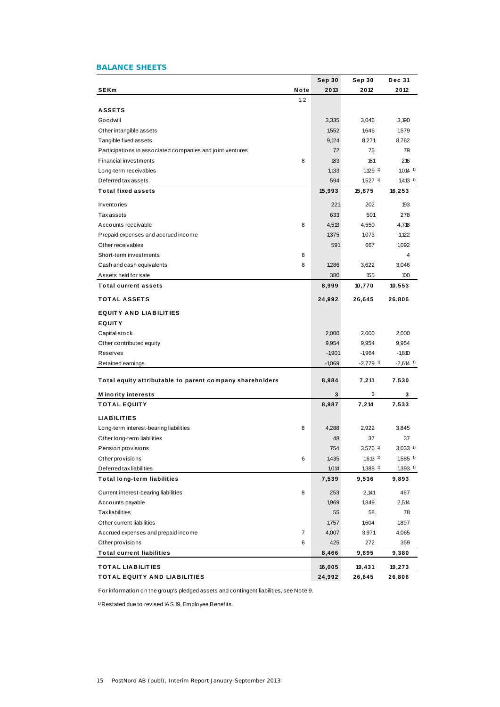## **BALANCE SHEETS**

|                                                                |      | Sep 30         | Sep 30                         | Dec 31                         |
|----------------------------------------------------------------|------|----------------|--------------------------------|--------------------------------|
| <b>SEKm</b>                                                    | Note | 2013           | 2012                           | 2012                           |
|                                                                | 1, 2 |                |                                |                                |
| <b>ASSETS</b>                                                  |      |                |                                |                                |
| Goodwill                                                       |      | 3,335          | 3,046                          | 3,190                          |
| Other intangible assets                                        |      | 1,552          | 1,646                          | 1,579                          |
| Tangible fixed assets                                          |      | 9,124          | 8,271                          | 8,762                          |
| Participations in associated companies and joint ventures      |      | 72             | 75                             | 79                             |
| <b>Financial investments</b>                                   | 8    | 183            | 181                            | 216                            |
| Long-term receivables                                          |      | 1,133          | $1,129$ <sup>1)</sup>          | $1,014$ 1)                     |
| Deferred tax assets                                            |      | 594            | $1,527$ <sup>1)</sup>          | $1,413$ <sup>1)</sup>          |
| <b>Total fixed assets</b>                                      |      | 15,993         | 15,875                         | 16,253                         |
| <b>Inventories</b>                                             |      | 221            | 202                            | 193                            |
| <b>Taxassets</b>                                               |      | 633            | 501                            | 278                            |
| Accounts receivable                                            | 8    | 4,513          | 4,550                          | 4,718                          |
| Prepaid expenses and accrued income                            |      | 1,375          | 1,073                          | 1,122                          |
| Other receivables                                              |      | 591            | 667                            | 1,092                          |
| Short-term investments                                         | 8    |                |                                | 4                              |
| Cash and cash equivalents                                      | 8    | 1,286          | 3,622                          | 3,046                          |
| Assets held for sale                                           |      | 380            | 155                            | 100                            |
| <b>Total current assets</b>                                    |      | 8,999          | 10,770                         | 10,553                         |
| <b>TOTAL ASSETS</b>                                            |      | 24,992         | 26,645                         | 26,806                         |
| <b>EQUITY AND LIABILITIES</b>                                  |      |                |                                |                                |
| <b>EQUITY</b>                                                  |      |                |                                |                                |
| Capital stock                                                  |      | 2,000          | 2,000                          | 2,000                          |
| Other contributed equity                                       |      | 9,954          | 9,954                          | 9,954                          |
| Reserves                                                       |      | $-1,901$       | $-1,964$                       | $-1,810$                       |
| Retained earnings                                              |      | $-1,069$       | $-2,779$ <sup>1)</sup>         | $-2,614$ <sup>1)</sup>         |
| Total equity attributable to parent company shareholders       |      | 8,984          | 7,211                          | 7,530                          |
| <b>Minority interests</b>                                      |      | 3              | 3                              | 3                              |
| <b>TOTAL EQUITY</b>                                            |      | 8,987          | 7,214                          | 7,533                          |
|                                                                |      |                |                                |                                |
| <b>LIABILITIES</b>                                             |      |                |                                |                                |
| Long-term interest-bearing liabilities                         | 8    | 4,288          | 2,922                          | 3,845                          |
| Other long-term liabilities                                    |      | 48             | 37                             | 37                             |
| Pension provisions                                             |      | 754            | $3,576$ <sup>1)</sup>          | $3,033$ <sup>1)</sup>          |
| Other provisions                                               | 6    | 1,435          | $1,613$ <sup>1)</sup>          | $1,585$ <sup>1)</sup>          |
| Deferred tax liabilities<br><b>Total long-term liabilities</b> |      | 1,014<br>7,539 | $1,388$ <sup>1)</sup><br>9,536 | $1,393$ <sup>1)</sup><br>9,893 |
|                                                                | 8    | 253            |                                |                                |
| Current interest-bearing liabilities                           |      | 1,969          | 2,141                          | 467                            |
| Accounts payable                                               |      |                | 1,849                          | 2,514                          |
| <b>Tax liabilities</b>                                         |      | 55             | 58                             | 78                             |
| Other current liabilities                                      |      | 1,757          | 1,604                          | 1,897                          |
| Accrued expenses and prepaid income                            | 7    | 4,007          | 3,971                          | 4,065                          |
| Other provisions                                               | 6    | 425            | 272                            | 359                            |
| <b>Total current liabilities</b>                               |      | 8,466          | 9,895                          | 9,380                          |
| <b>TOTAL LIABILITIES</b>                                       |      | 16,005         | 19,431                         | 19,273                         |
| <b>TOTAL EQUITY AND LIABILITIES</b>                            |      | 24,992         | 26,645                         | 26,806                         |

For information on the group's pledged assets and contingent liabilities, see Note 9.

1) Restated due to revised IAS 19, Employee Benefits.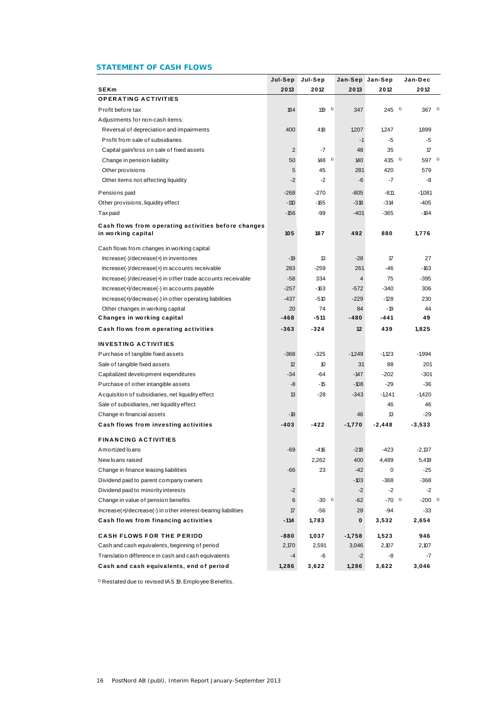## **STATEMENT OF CASH FLOWS**

|                                                                           | Jul-Sep        | Jul-Sep             | Jan-Sep Jan-Sep |                     | Jan-Dec              |  |
|---------------------------------------------------------------------------|----------------|---------------------|-----------------|---------------------|----------------------|--|
| <b>SEKm</b>                                                               | 2013           | 2012                | 2013            | 2012                | 2012                 |  |
| <b>OPERATING ACTIVITIES</b>                                               |                |                     |                 |                     |                      |  |
| Profit before tax                                                         | 184            | $119 - 1$           | 347             | $245$ <sup>1)</sup> | $367 - 1$            |  |
| Adjustments for non-cash items:                                           |                |                     |                 |                     |                      |  |
| Reversal of depreciation and impairments                                  | 400            | 418                 | 1,207           | 1,247               | 1,899                |  |
| Profit from sale of subsidiaries                                          |                |                     | $-1$            | -5                  | -5                   |  |
| Capital gain/loss on sale of fixed assets                                 | $\overline{2}$ | $-7$                | 48              | 35                  | 17                   |  |
| Change in pension liability                                               | 50             | $148$ <sup>1)</sup> | 140             | $435^{1}$           | $597$ <sup>1)</sup>  |  |
| Other provisions                                                          | 5              | 45                  | 281             | 420                 | 579                  |  |
| Other items not affecting liquidity                                       | $-2$           | $-2$                | -6              | $-7$                | -8                   |  |
| Pensions paid                                                             | $-268$         | $-270$              | $-805$          | -811                | $-1,081$             |  |
| Other provisions, liquidity effect                                        | $-110$         | -165                | $-318$          | $-314$              | $-405$               |  |
| Taxpaid                                                                   | -156           | -99                 | $-401$          | $-365$              | $-184$               |  |
|                                                                           |                |                     |                 |                     |                      |  |
| Cash flows from operating activities before changes<br>in working capital | 105            | 187                 | 492             | 880                 | 1,776                |  |
| Cash flows from changes in working capital                                |                |                     |                 |                     |                      |  |
| $Increase(-)/decrease(+)$ in inventories                                  | $-19$          | 13                  | $-28$           | 17                  | 27                   |  |
| Increase(-)/decrease(+) in accounts receivable                            | 283            | $-259$              | 261             | -46                 | $-163$               |  |
| Increase(-)/decrease(+) in other trade accounts receivable                | $-58$          | 334                 | $\overline{4}$  | 75                  | $-395$               |  |
| Increase(+)/decrease(-) in accounts payable                               | $-257$         | -163                | $-572$          | $-340$              | 306                  |  |
| Increase(+)/decrease(-) in other operating liabilities                    | $-437$         | $-510$              | $-229$          | $-128$              | 230                  |  |
| Other changes in working capital                                          | 20             | 74                  | 84              | $-19$               | 44                   |  |
| Changes in working capital                                                | -468           | -511                | -480            | -441                | 49                   |  |
| Cash flows from operating activities                                      | -363           | -324                | 12              | 439                 | 1,825                |  |
| INVESTING ACTIVITIES                                                      |                |                     |                 |                     |                      |  |
| Purchase of tangible fixed assets                                         | $-368$         | $-325$              | -1,249          | $-1,123$            | $-1,994$             |  |
| Sale of tangible fixed assets                                             | 12             | 10                  | 31              | 88                  | 201                  |  |
| Capitalized development expenditures                                      | $-34$          | $-64$               | -147            | $-202$              | $-301$               |  |
| Purchase of other intangible assets                                       | -8             | -15                 | -108            | -29                 | $-36$                |  |
| A cquisition of subsidiaries, net liquidity effect                        | 13             | $-28$               | -343            | $-1,241$            | $-1,420$             |  |
| Sale of subsidiaries, net liquidity effect                                |                |                     |                 | 46                  | 46                   |  |
| Change in financial assets                                                | -18            |                     | 46              | 13                  | $-29$                |  |
| Cash flows from investing activities                                      | -403           | -422                | $-1,770$        | -2,448              | $-3,533$             |  |
| <b>FINANCING ACTIVITIES</b>                                               |                |                     |                 |                     |                      |  |
| Amortized loans                                                           | -69            | -416                | $-219$          | -423                | -2,137               |  |
| New loans raised                                                          |                | 2,262               | 400             | 4,489               | 5,419                |  |
| Change in finance leasing liabilities                                     | -66            | 23                  | $-42$           | 0                   | $-25$                |  |
| Dividend paid to parent company owners                                    |                |                     | $-103$          | $-368$              | $-368$               |  |
| Dividend paid to minority interests                                       | $-2$           |                     | $-2$            | $-2$                | $-2$                 |  |
| Change in value of pension benefits                                       | 6              | $-30^{1}$           | $-62$           | $-70^{1}$           | $-200$ <sup>1)</sup> |  |
| Increase(+)/decrease(-) in other interest-bearing liabilities             | 17             | -56                 | 28              | $-94$               | -33                  |  |
| Cash flows from financing activities                                      | - 114          | 1,783               | 0               | 3,532               | 2,654                |  |
| <b>CASH FLOWS FOR THE PERIOD</b>                                          | -880           | 1,037               | $-1,758$        | 1,523               | 946                  |  |
| Cash and cash equivalents, beginning of period                            | 2,170          | 2,591               | 3,046           | 2,107               | 2,107                |  |
| Translation difference in cash and cash equivalents                       | $-4$           | -6                  | -2              | -8                  | $-7$                 |  |
| Cash and cash equivalents, end of period                                  | 1,286          | 3,622               | 1,286           | 3,622               | 3,046                |  |

1) Restated due to revised IAS 19, Employee Benefits.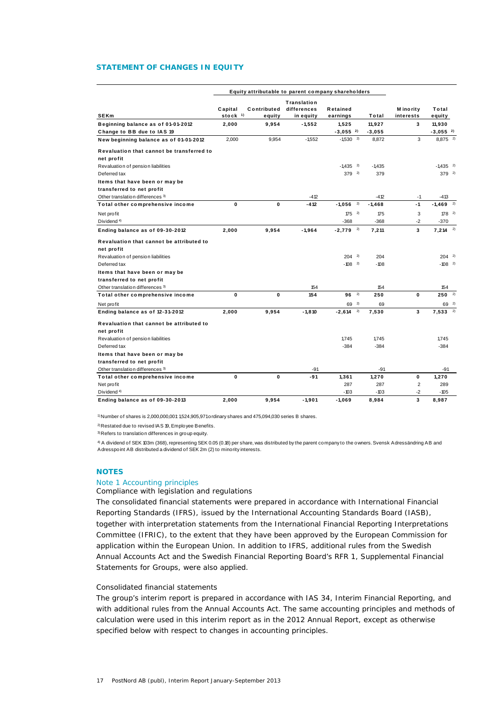## **STATEMENT OF CHANGES IN EQUITY**

|                                           |                      | Equity attributable to parent company shareholders |                                         |                        |    |          |                         |                        |  |
|-------------------------------------------|----------------------|----------------------------------------------------|-----------------------------------------|------------------------|----|----------|-------------------------|------------------------|--|
| <b>SEKm</b>                               | Capital<br>stock $1$ | Contributed<br>equity                              | Translation<br>differences<br>in equity | Retained<br>earnings   |    | Total    | M ino rity<br>interests | Total<br>equity        |  |
| Beginning balance as of 01-01-2012        | 2,000                | 9,954                                              | $-1,552$                                | 1,525                  |    | 11,927   | 3                       | 11,930                 |  |
| Change to BB due to IAS 19                |                      |                                                    |                                         | $-3,055$ <sup>2)</sup> |    | $-3,055$ |                         | $-3,055$ <sup>2</sup>  |  |
| New beginning balance as of 01-01-2012    | 2.000                | 9,954                                              | $-1,552$                                | $-1,530$ <sup>2)</sup> |    | 8,872    | 3                       | 8,875 <sup>2)</sup>    |  |
| Revaluation that cannot be transferred to |                      |                                                    |                                         |                        |    |          |                         |                        |  |
| net profit                                |                      |                                                    |                                         |                        |    |          |                         |                        |  |
| Revaluation of pension liabilities        |                      |                                                    |                                         | $-1,435$ <sup>2)</sup> |    | $-1,435$ |                         | $-1,435$ <sup>2)</sup> |  |
| Deferred tax                              |                      |                                                    |                                         | $379^{2}$              |    | 379      |                         | $379^{2}$              |  |
| Items that have been or may be            |                      |                                                    |                                         |                        |    |          |                         |                        |  |
| transferred to net profit                 |                      |                                                    |                                         |                        |    |          |                         |                        |  |
| Other translation differences 3)          |                      |                                                    | $-412$                                  |                        |    | $-412$   | $-1$                    | $-413$                 |  |
| Total other comprehensive income          | 0                    | 0                                                  | $-412$                                  | $-1,056$               | 2) | $-1,468$ | $-1$                    | $-1,469$ <sup>2)</sup> |  |
| Net profit                                |                      |                                                    |                                         | $175^{2}$              |    | 175      | 3                       | $178^{2}$              |  |
| Dividend <sup>4)</sup>                    |                      |                                                    |                                         | $-368$                 |    | $-368$   | $-2$                    | $-370$                 |  |
| Ending balance as of 09-30-2012           | 2,000                | 9,954                                              | -1,964                                  | $-2,779$ <sup>2)</sup> |    | 7,211    | 3                       | $7,214$ <sup>2)</sup>  |  |
| Revaluation that cannot be attributed to  |                      |                                                    |                                         |                        |    |          |                         |                        |  |
| net profit                                |                      |                                                    |                                         |                        |    |          |                         |                        |  |
| Revaluation of pension liabilities        |                      |                                                    |                                         | $204$ <sup>2)</sup>    |    | 204      |                         | $204^{2}$              |  |
| Deferred tax                              |                      |                                                    |                                         | $-108$ <sup>2)</sup>   |    | $-108$   |                         | $-108$ <sup>2)</sup>   |  |
| Items that have been or may be            |                      |                                                    |                                         |                        |    |          |                         |                        |  |
| transferred to net profit                 |                      |                                                    |                                         |                        |    |          |                         |                        |  |
| Other translation differences 3)          |                      |                                                    | 154                                     |                        |    | 154      |                         | 154                    |  |
| Total other comprehensive income          | 0                    | 0                                                  | 154                                     | $96^{2}$               |    | 250      | 0                       | $250^{2}$              |  |
| Net profit                                |                      |                                                    |                                         | 69                     | 2) | 69       |                         | 69 2)                  |  |
| Ending balance as of 12-31-2012           | 2.000                | 9,954                                              | $-1.810$                                | $-2.614$ <sup>2)</sup> |    | 7,530    | 3                       | $7,533$ <sup>2)</sup>  |  |
| Revaluation that cannot be attributed to  |                      |                                                    |                                         |                        |    |          |                         |                        |  |
| net profit                                |                      |                                                    |                                         |                        |    |          |                         |                        |  |
| Revaluation of pension liabilities        |                      |                                                    |                                         | 1,745                  |    | 1,745    |                         | 1,745                  |  |
| Deferred tax                              |                      |                                                    |                                         | $-384$                 |    | $-384$   |                         | $-384$                 |  |
| Items that have been or may be            |                      |                                                    |                                         |                        |    |          |                         |                        |  |
| transferred to net profit                 |                      |                                                    |                                         |                        |    |          |                         |                        |  |
| Other translation differences 3)          |                      |                                                    | $-91$                                   |                        |    | $-91$    |                         | -91                    |  |
| Total other comprehensive income          | $\mathbf{0}$         | $\mathbf{0}$                                       | -91                                     | 1,361                  |    | 1,270    | 0                       | 1,270                  |  |
| Net profit                                |                      |                                                    |                                         | 287                    |    | 287      | $\overline{2}$          | 289                    |  |
| Dividend <sup>4)</sup>                    |                      |                                                    |                                         | $-103$                 |    | $-103$   | $-2$                    | $-105$                 |  |
| Ending balance as of 09-30-2013           | 2,000                | 9,954                                              | $-1,901$                                | $-1,069$               |    | 8,984    | 3                       | 8,987                  |  |

1) Number of shares is 2,000,000,001: 1,524,905,971 ordinary shares and 475,094,030 series B shares.

2) Restated due to revised IAS 19, Employee Benefits.

3) Refers to translation differences in group equity.

4) A dividend of SEK 103m (368), representing SEK 0.05 (0.18) per share, was distributed by the parent company to the owners. Svensk Adressändring AB and Adresspoint AB distributed a dividend of SEK 2m (2) to minority interests.

## **NOTES**

## Note 1 Accounting principles

## *Compliance with legislation and regulations*

The consolidated financial statements were prepared in accordance with International Financial Reporting Standards (IFRS), issued by the International Accounting Standards Board (IASB), together with interpretation statements from the International Financial Reporting Interpretations Committee (IFRIC), to the extent that they have been approved by the European Commission for application within the European Union. In addition to IFRS, additional rules from the Swedish Annual Accounts Act and the Swedish Financial Reporting Board's RFR 1, Supplemental Financial Statements for Groups, were also applied.

## *Consolidated financial statements*

The group's interim report is prepared in accordance with IAS 34, Interim Financial Reporting, and with additional rules from the Annual Accounts Act. The same accounting principles and methods of calculation were used in this interim report as in the 2012 Annual Report, except as otherwise specified below with respect to changes in accounting principles.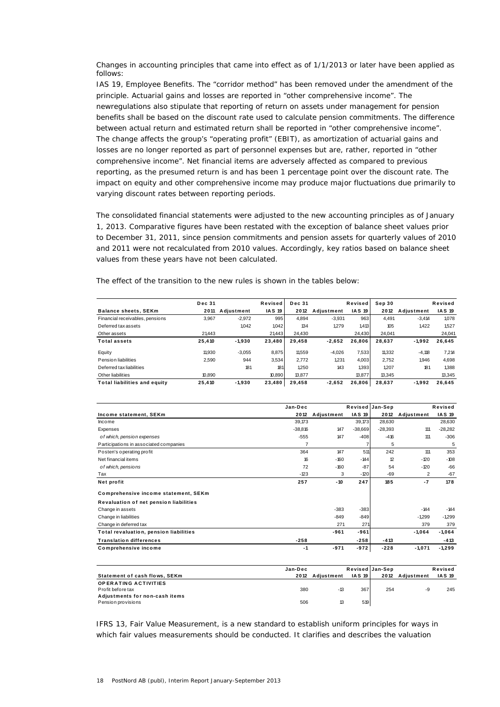*Changes in accounting principles that came into effect as of 1/1/2013 or later have been applied as follows:* 

IAS 19, Employee Benefits. The "corridor method" has been removed under the amendment of the principle. Actuarial gains and losses are reported in "other comprehensive income". The newregulations also stipulate that reporting of return on assets under management for pension benefits shall be based on the discount rate used to calculate pension commitments. The difference between actual return and estimated return shall be reported in "other comprehensive income". The change affects the group's "operating profit" (EBIT), as amortization of actuarial gains and losses are no longer reported as part of personnel expenses but are, rather, reported in "other comprehensive income". Net financial items are adversely affected as compared to previous reporting, as the presumed return is and has been 1 percentage point over the discount rate. The impact on equity and other comprehensive income may produce major fluctuations due primarily to varying discount rates between reporting periods.

The consolidated financial statements were adjusted to the new accounting principles as of January 1, 2013. Comparative figures have been restated with the exception of balance sheet values prior to December 31, 2011, since pension commitments and pension assets for quarterly values of 2010 and 2011 were not recalculated from 2010 values. Accordingly, key ratios based on balance sheet values from these years have not been calculated.

|                                     | <b>Dec 31</b> |            | Revised       | <b>Dec 31</b> |            | Revised       | Sep 30 |            | Revised       |
|-------------------------------------|---------------|------------|---------------|---------------|------------|---------------|--------|------------|---------------|
| <b>Balance sheets, SEKm</b>         | 2011          | Adiustment | <b>IAS 19</b> | 2012          | Adiustment | <b>IAS 19</b> | 2012   | Adiustment | <b>IAS 19</b> |
| Financial receivables, pensions     | 3.967         | $-2.972$   | 995           | 4.894         | $-3.931$   | 963           | 4.491  | $-3.414$   | 1.078         |
| Deferred tax assets                 |               | 1,042      | 1042          | 134           | 1279       | 1,413         | 105    | 1.422      | 1,527         |
| Other assets                        | 21,443        |            | 21,443        | 24.430        |            | 24.430        | 24.041 |            | 24,041        |
| <b>Total assets</b>                 | 25,410        | $-1,930$   | 23,480        | 29.458        | $-2,652$   | 26.806        | 28.637 | $-1,992$   | 26,645        |
| Equity                              | 11.930        | $-3.055$   | 8.875         | 11.559        | $-4.026$   | 7.533         | 11.332 | $-4.118$   | 7.214         |
| Pension liabilities                 | 2.590         | 944        | 3,534         | 2.772         | 1.231      | 4.003         | 2.752  | 1.946      | 4,698         |
| Deferred tax liabilities            |               | 181        | 181           | 1.250         | 143        | 1,393         | 1.207  | 181        | 1,388         |
| Other liabilities                   | 10.890        |            | 10.890        | 13,877        |            | 13.877        | 13.345 |            | 13.345        |
| <b>Total liabilities and equity</b> | 25.410        | $-1,930$   | 23,480        | 29,458        | $-2,652$   | 26,806        | 28,637 | $-1.992$   | 26,645        |

The effect of the transition to the new rules is shown in the tables below:

|                                               | Jan-Dec        |            | Revised Jan-Sep |                 |            | Revised       |
|-----------------------------------------------|----------------|------------|-----------------|-----------------|------------|---------------|
| Income statement, SEKm                        | 2012           | Adjustment | <b>IAS 19</b>   | 2012            | Adjustment | <b>IAS 19</b> |
| Income                                        | 39,173         |            | 39,173          | 28.630          |            | 28,630        |
| Expenses                                      | $-38.816$      | 147        | $-38,669$       | $-28.393$       | 111        | $-28,282$     |
| of which, pension expenses                    | $-555$         | 147        | $-408$          | $-416$          | 111        | $-306$        |
| Participations in associated companies        | $\overline{7}$ |            | 7               | 5               |            | 5             |
| Posten's operating profit                     | 364            | 147        | 511             | 242             | 111        | 353           |
| Net financial items                           | 16             | $-160$     | $-144$          | 12              | $-120$     | $-108$        |
| of which, pensions                            | 72             | $-160$     | $-87$           | 54              | $-120$     | $-66$         |
| Tax                                           | $-123$         | 3          | $-120$          | $-69$           | 2          | $-67$         |
| Net profit                                    | 257            | $-10$      | 247             | 185             | $-7$       | 178           |
| Comprehensive income statement, SEKm          |                |            |                 |                 |            |               |
| Revaluation of net pension liabilities        |                |            |                 |                 |            |               |
| Change in assets                              |                | $-383$     | $-383$          |                 | $-144$     | $-144$        |
| Change in liabilities                         |                | $-849$     | $-849$          |                 | $-1.299$   | $-1,299$      |
| Change in deferred tax                        |                | 271        | 271             |                 | 379        | 379           |
| <b>Total revaluation, pension liabilities</b> |                | -961       | $-961$          |                 | $-1,064$   | $-1,064$      |
| <b>Translation differences</b>                | $-258$         |            | $-258$          | $-413$          |            | $-413$        |
| Comprehensive income                          | $-1$           | $-971$     | $-972$          | $-228$          | $-1.071$   | $-1,299$      |
|                                               |                |            |                 |                 |            |               |
|                                               | Jan-Dec        |            |                 | Revised Jan-Sep |            | Revised       |
| <b>Statement of cash flows, SEKm</b>          | 2012           | Adjustment | <b>IAS 19</b>   | 2012            | Adjustment | <b>IAS 19</b> |
| <b>OPERATING ACTIVITIES</b>                   |                |            |                 |                 |            |               |
| Profit before tax                             | 380            | $-13$      | 367             | 254             | -9         | 245           |
| Adjustments for non-cash items                |                |            |                 |                 |            |               |

IFRS 13, Fair Value Measurement, is a new standard to establish uniform principles for ways in which fair values measurements should be conducted. It clarifies and describes the valuation

explosivents for non-cash riems<br>Pension provisions 506 13 519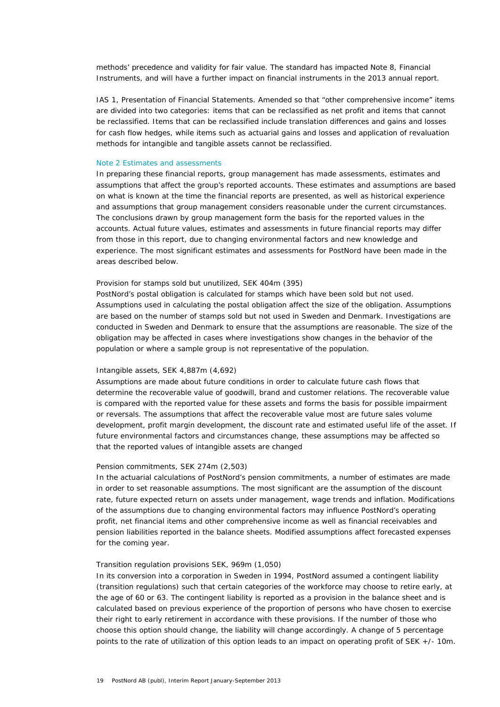methods' precedence and validity for fair value. The standard has impacted Note 8, Financial Instruments, and will have a further impact on financial instruments in the 2013 annual report.

IAS 1, Presentation of Financial Statements. Amended so that "other comprehensive income" items are divided into two categories: items that can be reclassified as net profit and items that cannot be reclassified. Items that can be reclassified include translation differences and gains and losses for cash flow hedges, while items such as actuarial gains and losses and application of revaluation methods for intangible and tangible assets cannot be reclassified.

## Note 2 Estimates and assessments

In preparing these financial reports, group management has made assessments, estimates and assumptions that affect the group's reported accounts. These estimates and assumptions are based on what is known at the time the financial reports are presented, as well as historical experience and assumptions that group management considers reasonable under the current circumstances. The conclusions drawn by group management form the basis for the reported values in the accounts. Actual future values, estimates and assessments in future financial reports may differ from those in this report, due to changing environmental factors and new knowledge and experience. The most significant estimates and assessments for PostNord have been made in the areas described below.

## *Provision for stamps sold but unutilized, SEK 404m (395)*

PostNord's postal obligation is calculated for stamps which have been sold but not used. Assumptions used in calculating the postal obligation affect the size of the obligation. Assumptions are based on the number of stamps sold but not used in Sweden and Denmark. Investigations are conducted in Sweden and Denmark to ensure that the assumptions are reasonable. The size of the obligation may be affected in cases where investigations show changes in the behavior of the population or where a sample group is not representative of the population.

## *Intangible assets, SEK 4,887m (4,692)*

Assumptions are made about future conditions in order to calculate future cash flows that determine the recoverable value of goodwill, brand and customer relations. The recoverable value is compared with the reported value for these assets and forms the basis for possible impairment or reversals. The assumptions that affect the recoverable value most are future sales volume development, profit margin development, the discount rate and estimated useful life of the asset. If future environmental factors and circumstances change, these assumptions may be affected so that the reported values of intangible assets are changed

## *Pension commitments, SEK 274m (2,503)*

In the actuarial calculations of PostNord's pension commitments, a number of estimates are made in order to set reasonable assumptions. The most significant are the assumption of the discount rate, future expected return on assets under management, wage trends and inflation. Modifications of the assumptions due to changing environmental factors may influence PostNord's operating profit, net financial items and other comprehensive income as well as financial receivables and pension liabilities reported in the balance sheets. Modified assumptions affect forecasted expenses for the coming year.

## *Transition regulation provisions SEK, 969m (1,050)*

In its conversion into a corporation in Sweden in 1994, PostNord assumed a contingent liability (transition regulations) such that certain categories of the workforce may choose to retire early, at the age of 60 or 63. The contingent liability is reported as a provision in the balance sheet and is calculated based on previous experience of the proportion of persons who have chosen to exercise their right to early retirement in accordance with these provisions. If the number of those who choose this option should change, the liability will change accordingly. A change of 5 percentage points to the rate of utilization of this option leads to an impact on operating profit of SEK +/- 10m.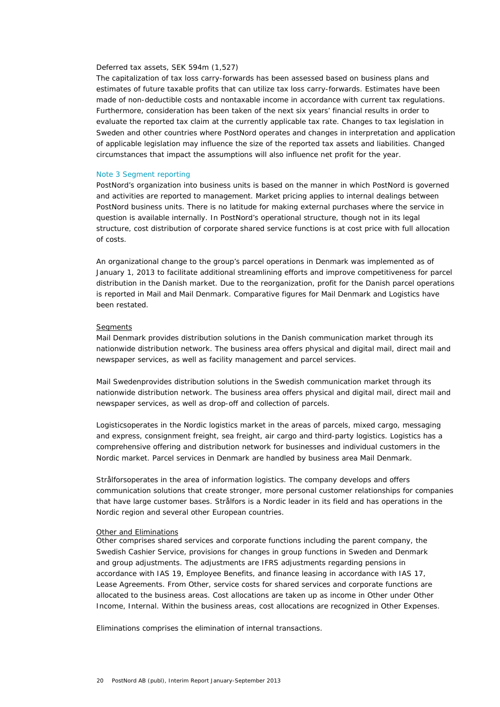#### *Deferred tax assets, SEK 594m (1,527)*

The capitalization of tax loss carry-forwards has been assessed based on business plans and estimates of future taxable profits that can utilize tax loss carry-forwards. Estimates have been made of non-deductible costs and nontaxable income in accordance with current tax regulations. Furthermore, consideration has been taken of the next six years' financial results in order to evaluate the reported tax claim at the currently applicable tax rate. Changes to tax legislation in Sweden and other countries where PostNord operates and changes in interpretation and application of applicable legislation may influence the size of the reported tax assets and liabilities. Changed circumstances that impact the assumptions will also influence net profit for the year.

### Note 3 Segment reporting

PostNord's organization into business units is based on the manner in which PostNord is governed and activities are reported to management. Market pricing applies to internal dealings between PostNord business units. There is no latitude for making external purchases where the service in question is available internally. In PostNord's operational structure, though not in its legal structure, cost distribution of corporate shared service functions is at cost price with full allocation of costs.

An organizational change to the group's parcel operations in Denmark was implemented as of January 1, 2013 to facilitate additional streamlining efforts and improve competitiveness for parcel distribution in the Danish market. Due to the reorganization, profit for the Danish parcel operations is reported in Mail and Mail Denmark. Comparative figures for Mail Denmark and Logistics have been restated.

#### *Segments*

*Mail Denmark* provides distribution solutions in the Danish communication market through its nationwide distribution network. The business area offers physical and digital mail, direct mail and newspaper services, as well as facility management and parcel services.

*Mail Sweden*provides distribution solutions in the Swedish communication market through its nationwide distribution network. The business area offers physical and digital mail, direct mail and newspaper services, as well as drop-off and collection of parcels.

*Logistics*operates in the Nordic logistics market in the areas of parcels, mixed cargo, messaging and express, consignment freight, sea freight, air cargo and third-party logistics. Logistics has a comprehensive offering and distribution network for businesses and individual customers in the Nordic market. Parcel services in Denmark are handled by business area Mail Denmark.

*Strålfors*operates in the area of information logistics. The company develops and offers communication solutions that create stronger, more personal customer relationships for companies that have large customer bases. Strålfors is a Nordic leader in its field and has operations in the Nordic region and several other European countries.

#### *Other and Eliminations*

*Other* comprises shared services and corporate functions including the parent company, the Swedish Cashier Service, provisions for changes in group functions in Sweden and Denmark and group adjustments. The adjustments are IFRS adjustments regarding pensions in accordance with IAS 19, Employee Benefits, and finance leasing in accordance with IAS 17, Lease Agreements. From Other, service costs for shared services and corporate functions are allocated to the business areas. Cost allocations are taken up as income in Other under Other Income, Internal. Within the business areas, cost allocations are recognized in Other Expenses.

*Eliminations* comprises the elimination of internal transactions.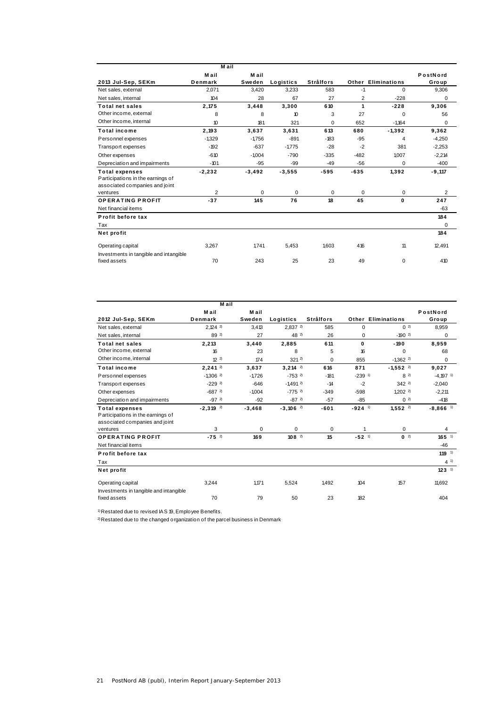|                                        | M ail            |             |                     |                  |                |                           |                |
|----------------------------------------|------------------|-------------|---------------------|------------------|----------------|---------------------------|----------------|
|                                        | Mail             | M ail       |                     |                  |                |                           | PostNord       |
| 2013 Jul-Sep, SEKm                     | Denmark          | Sweden      | Logistics           | <b>Strålfors</b> |                | <b>Other Eliminations</b> | Group          |
| Net sales, external                    | 2,071            | 3,420       | 3,233               | 583              | $-1$           | $\Omega$                  | 9,306          |
| Net sales, internal                    | 104              | 28          | 67                  | 27               | $\overline{2}$ | $-228$                    | $\Omega$       |
| <b>Total net sales</b>                 | 2,175            | 3,448       | 3,300               | 610              | 1              | $-228$                    | 9,306          |
| Other income, external                 | 8                | 8           | $\boldsymbol{\eta}$ | 3                | 27             | $\Omega$                  | 56             |
| Other income, internal                 | 10 <sup>10</sup> | 181         | 321                 | $\Omega$         | 652            | $-1,164$                  | 0              |
| <b>Total income</b>                    | 2.193            | 3.637       | 3.631               | 613              | 680            | $-1.392$                  | 9,362          |
| Personnel expenses                     | $-1,329$         | $-1,756$    | $-891$              | $-183$           | $-95$          | 4                         | $-4,250$       |
| Transport expenses                     | $-192$           | $-637$      | $-1.775$            | $-28$            | $-2$           | 381                       | $-2,253$       |
| Other expenses                         | $-610$           | $-1004$     | $-790$              | $-335$           | $-482$         | 1.007                     | $-2,214$       |
| Depreciation and impairments           | $-101$           | $-95$       | $-99$               | $-49$            | $-56$          | $\Omega$                  | $-400$         |
| <b>Total expenses</b>                  | $-2,232$         | $-3,492$    | $-3,555$            | $-595$           | $-635$         | 1,392                     | $-9,117$       |
| Participations in the earnings of      |                  |             |                     |                  |                |                           |                |
| associated companies and joint         |                  |             |                     |                  |                |                           |                |
| ventures                               | $\overline{2}$   | $\mathbf 0$ | $\Omega$            | 0                | $\mathbf 0$    | $\mathbf 0$               | $\overline{2}$ |
| <b>OPERATING PROFIT</b>                | $-37$            | 145         | 76                  | 18               | 45             | 0                         | 247            |
| Net financial items                    |                  |             |                     |                  |                |                           | $-63$          |
| Profit before tax                      |                  |             |                     |                  |                |                           | 184            |
| Tax                                    |                  |             |                     |                  |                |                           | $\Omega$       |
| Net profit                             |                  |             |                     |                  |                |                           | 184            |
| Operating capital                      | 3,267            | 1.741       | 5,453               | 1.603            | 416            | 11                        | 12,491         |
| Investments in tangible and intangible |                  |             |                     |                  |                |                           |                |
| fixed assets                           | 70               | 243         | 25                  | 23               | 49             | 0                         | 410            |

|                                                                                                          | M ail                       |               |                             |                       |                           |                            |                             |
|----------------------------------------------------------------------------------------------------------|-----------------------------|---------------|-----------------------------|-----------------------|---------------------------|----------------------------|-----------------------------|
|                                                                                                          | M ail                       | M ail         |                             |                       |                           |                            | PostNord                    |
| 2012 Jul-Sep, SEKm                                                                                       | Denmark                     | Sweden        | Logistics                   | <b>Strålfors</b>      |                           | Other Eliminations         | Group                       |
| Net sales, external                                                                                      | $2,124$ <sup>2)</sup>       | 3,413         | 2.8372                      | 585                   | $\Omega$                  | (2)                        | 8,959                       |
| Net sales, internal                                                                                      | 89 2)                       | 27            | $48^{2}$                    | 26                    | 0                         | $-190$ <sup>2)</sup>       | 0                           |
| <b>Total net sales</b>                                                                                   | 2,213                       | 3,440         | 2,885                       | 611                   | 0                         | $-190$                     | 8,959                       |
| Other income, external                                                                                   | 16                          | 23            | 8                           | 5                     | 16                        | $\Omega$                   | 68                          |
| Other income, internal                                                                                   | $12^{2}$                    | 174           | $321^{2}$                   | $\Omega$              | 855                       | $-1,362$ <sup>2)</sup>     | $\mathbf 0$                 |
| <b>Total income</b>                                                                                      | $2.241^{2}$                 | 3.637         | $3,214$ <sup>2)</sup>       | 616                   | 871                       | $-1,552$ <sup>2)</sup>     | 9,027                       |
| Personnel expenses                                                                                       | $-1,306$ <sup>2)</sup>      | $-1.726$      | $-753$ <sup>2)</sup>        | $-181$                | $-239$ <sup>1)</sup>      | $8^{2}$                    | $-4,197$ <sup>1)</sup>      |
| Transport expenses                                                                                       | $-229$ <sup>2)</sup>        | $-646$        | $-1.491$ <sup>2)</sup>      | $-14$                 | $-2$                      | $342^{2}$                  | $-2.040$                    |
| Other expenses                                                                                           | $-687$ <sup>2</sup>         | $-1.004$      | $-7752$                     | $-349$                | $-598$                    | $1,202$ <sup>2)</sup>      | $-2.211$                    |
| Depreciation and impairments                                                                             | $-972$                      | $-92$         | $-872$                      | $-57$                 | $-85$                     | (0, 2)                     | $-418$                      |
| <b>Total expenses</b><br>Participations in the earnings of<br>associated companies and joint<br>ventures | $-2,319$ <sup>2)</sup><br>3 | $-3,468$<br>0 | $-3,106$ <sup>2)</sup><br>0 | $-601$<br>$\mathbf 0$ | $-924$ <sup>1)</sup><br>1 | $1,552$ <sup>2)</sup><br>0 | $-8,866$ <sup>1)</sup><br>4 |
| <b>OPERATING PROFIT</b>                                                                                  | $-75^{2}$                   | 169           | $108^{2}$                   | 15                    | $-52^{1}$                 | $0^{2}$                    | $165$ <sup>1)</sup>         |
| Net financial items                                                                                      |                             |               |                             |                       |                           |                            | $-46$                       |
| Profit before tax                                                                                        |                             |               |                             |                       |                           |                            | 119 $1$                     |
| Tax                                                                                                      |                             |               |                             |                       |                           |                            | $4^{1}$                     |
| Net profit                                                                                               |                             |               |                             |                       |                           |                            | $123^{1}$                   |
| Operating capital                                                                                        | 3,244                       | 1.171         | 5,524                       | 1.492                 | 104                       | 157                        | 11.692                      |
| Investments in tangible and intangible<br>fixed assets                                                   | 70                          | 79            | 50                          | 23                    | 182                       |                            | 404                         |

1) Restated due to revised IAS 19, Employee Benefits.

2) Restated due to the changed organization of the parcel business in Denmark.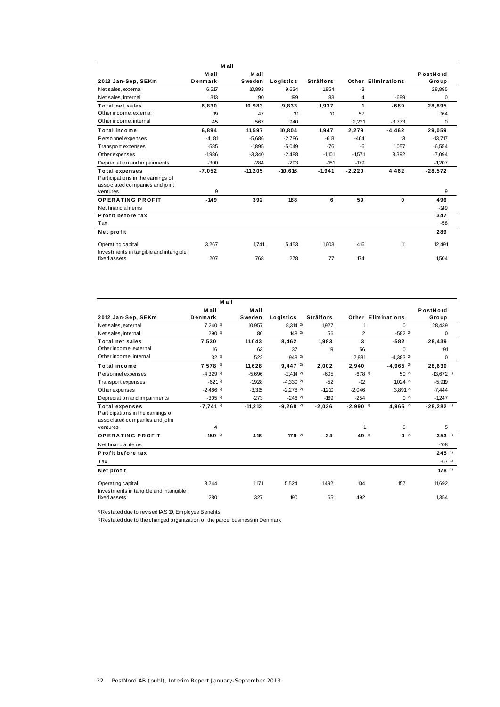|                                        | M ail    |           |           |                  |          |                           |           |
|----------------------------------------|----------|-----------|-----------|------------------|----------|---------------------------|-----------|
|                                        | M ail    | M ail     |           |                  |          |                           | PostNord  |
| 2013 Jan-Sep, SEKm                     | Denmark  | Sweden    | Logistics | <b>Strålfors</b> |          | <b>Other Eliminations</b> | Group     |
| Net sales, external                    | 6.517    | 10.893    | 9.634     | 1.854            | $-3$     |                           | 28,895    |
| Net sales, internal                    | 313      | 90        | 199       | 83               | 4        | $-689$                    | 0         |
| <b>Total net sales</b>                 | 6,830    | 10,983    | 9,833     | 1.937            | 1        | $-689$                    | 28,895    |
| Other income, external                 | 19       | 47        | 31        | 10               | 57       |                           | 164       |
| Other income, internal                 | 45       | 567       | 940       |                  | 2.221    | $-3.773$                  | 0         |
| <b>Total income</b>                    | 6.894    | 11.597    | 10.804    | 1.947            | 2.279    | $-4, 462$                 | 29.059    |
| Personnel expenses                     | $-4.181$ | $-5.686$  | $-2,786$  | $-613$           | $-464$   | 13                        | $-13,717$ |
| Transport expenses                     | $-585$   | $-1895$   | $-5.049$  | $-76$            | -6       | 1.057                     | $-6.554$  |
| Other expenses                         | $-1986$  | $-3.340$  | $-2.488$  | $-1.101$         | $-1.571$ | 3,392                     | $-7,094$  |
| Depreciation and impairments           | $-300$   | $-284$    | $-293$    | $-151$           | $-179$   |                           | $-1,207$  |
| <b>Total expenses</b>                  | $-7,052$ | $-11,205$ | $-10,616$ | $-1,941$         | $-2,220$ | 4,462                     | $-28,572$ |
| Participations in the earnings of      |          |           |           |                  |          |                           |           |
| associated companies and joint         |          |           |           |                  |          |                           |           |
| ventures                               | 9        |           |           |                  |          |                           | 9         |
| <b>OPERATING PROFIT</b>                | $-149$   | 392       | 188       | 6                | 59       | 0                         | 496       |
| Net financial items                    |          |           |           |                  |          |                           | $-149$    |
| Profit before tax                      |          |           |           |                  |          |                           | 347       |
| Tax                                    |          |           |           |                  |          |                           | $-58$     |
| Net profit                             |          |           |           |                  |          |                           | 289       |
| Operating capital                      | 3.267    | 1.741     | 5,453     | 1.603            | 416      | 11                        | 12.491    |
| Investments in tangible and intangible |          |           |           |                  |          |                           |           |
| fixed assets                           | 207      | 768       | 278       | 77               | 174      |                           | 1.504     |
|                                        |          |           |           |                  |          |                           |           |

|                                        | M ail                  |           |                        |                  |                        |                        |                         |
|----------------------------------------|------------------------|-----------|------------------------|------------------|------------------------|------------------------|-------------------------|
|                                        | M ail                  | M ail     |                        |                  |                        |                        | PostNord                |
| 2012 Jan-Sep, SEKm                     | Denmark                | Sweden    | Logistics              | <b>Strålfors</b> |                        | Other Eliminations     | Group                   |
| Net sales, external                    | 7.2402                 | 10,957    | 8.3142                 | 1927             |                        | $\Omega$               | 28,439                  |
| Net sales, internal                    | 2902                   | 86        | 1482                   | 56               | 2                      | $-582$ <sup>2)</sup>   | 0                       |
| <b>Total net sales</b>                 | 7,530                  | 11,043    | 8,462                  | 1.983            | 3                      | $-582$                 | 28,439                  |
| Other income, external                 | 16                     | 63        | 37                     | 19               | 56                     | $\Omega$               | 191                     |
| Other income, internal                 | $32^{2}$               | 522       | 948 2)                 |                  | 2,881                  | $-4,383$ <sup>2)</sup> | $\Omega$                |
| <b>Total income</b>                    | $7.578$ <sup>2)</sup>  | 11.628    | $9.447^{2}$            | 2.002            | 2.940                  | $-4,965$ <sup>2)</sup> | 28.630                  |
| Personnel expenses                     | $-4,329$ <sup>2)</sup> | $-5,696$  | $-2,414$ <sup>2)</sup> | $-605$           | $-678$ <sup>1)</sup>   | $50^{2}$               | $-13,672$ <sup>1)</sup> |
| Transport expenses                     | $-621^{2}$             | $-1.928$  | $-4,330$ <sup>2)</sup> | $-52$            | $-12$                  | 1.0242                 | $-5,919$                |
| Other expenses                         | $-2.486$ <sup>2)</sup> | $-3.315$  | $-2,278$ <sup>2</sup>  | $-1210$          | $-2.046$               | 3.8912                 | $-7,444$                |
| Depreciation and impairments           | $-305$ <sup>2)</sup>   | $-273$    | $-246$ <sup>2)</sup>   | $-169$           | $-254$                 | (0, 2)                 | $-1.247$                |
| <b>Total expenses</b>                  | $-7.741$ <sup>2)</sup> | $-11,212$ | $-9,268$ <sup>2)</sup> | $-2,036$         | $-2,990$ <sup>1)</sup> | 4,965 <sup>2)</sup>    | $-28,282$ <sup>1)</sup> |
| Participations in the earnings of      |                        |           |                        |                  |                        |                        |                         |
| associated companies and joint         |                        |           |                        |                  |                        |                        |                         |
| ventures                               | 4                      |           |                        |                  | 1                      | $\Omega$               | 5                       |
| <b>OPERATING PROFIT</b>                | $-159$ <sup>2)</sup>   | 416       | $179^{2}$              | $-34$            | $-49^{-1}$             | $0^{2}$                | $353^{1}$               |
| Net financial items                    |                        |           |                        |                  |                        |                        | $-108$                  |
| Profit before tax                      |                        |           |                        |                  |                        |                        | $245$ <sup>1)</sup>     |
| Tax                                    |                        |           |                        |                  |                        |                        | $-67$ <sup>1)</sup>     |
| Net profit                             |                        |           |                        |                  |                        |                        | $178$ <sup>1)</sup>     |
| Operating capital                      | 3.244                  | 1.171     | 5,524                  | 1.492            | 104                    | 157                    | 11,692                  |
| Investments in tangible and intangible |                        |           |                        |                  |                        |                        |                         |
| fixed assets                           | 280                    | 327       | 190                    | 65               | 492                    |                        | 1.354                   |

1) Restated due to revised IAS 19, Employee Benefits.

2) Restated due to the changed organization of the parcel business in Denmark.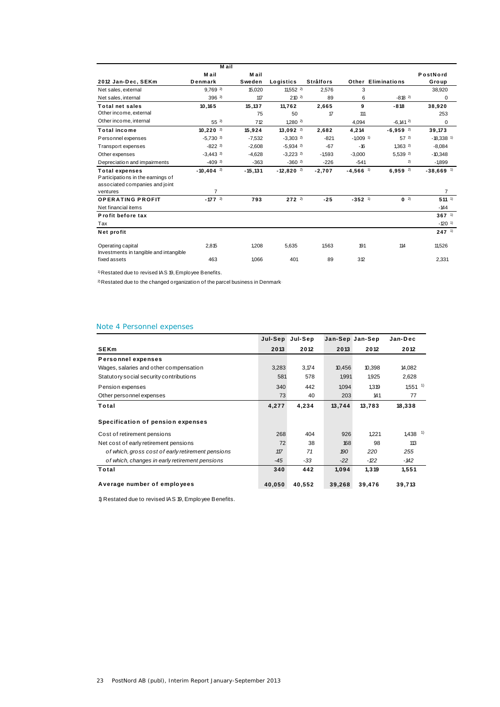|                                                                                              | M ail                   |            |                         |                  |                        |                           |                         |
|----------------------------------------------------------------------------------------------|-------------------------|------------|-------------------------|------------------|------------------------|---------------------------|-------------------------|
|                                                                                              | M ail                   | M ail      |                         |                  |                        |                           | PostNord                |
| 2012 Jan-Dec, SEKm                                                                           | Denmark                 | Sweden     | Logistics               | <b>Strålfors</b> |                        | <b>Other Eliminations</b> | Group                   |
| Net sales, external                                                                          | $9.769$ <sup>2)</sup>   | 15,020     | 11.552 $^{2}$           | 2.576            | 3                      |                           | 38,920                  |
| Net sales, internal                                                                          | $396^{2}$               | 117        | $210^{2}$               | 89               | 6                      | $-818^{2}$                | 0                       |
| <b>Total net sales</b>                                                                       | 10,165                  | 15,137     | 11.762                  | 2.665            | 9                      | $-818$                    | 38,920                  |
| Other income, external                                                                       |                         | 75         | 50                      | 17               | 111                    |                           | 253                     |
| Other income, internal                                                                       | $55^{2}$                | 712        | $1,280$ <sup>2)</sup>   |                  | 4,094                  | $-6,141$ <sup>2)</sup>    | 0                       |
| <b>Total income</b>                                                                          | $10.220$ <sup>2)</sup>  | 15,924     | $13.092$ <sup>2)</sup>  | 2.682            | 4.214                  | $-6,959$ <sup>2)</sup>    | 39,173                  |
| Personnel expenses                                                                           | $-5,730$ <sup>2)</sup>  | $-7,532$   | $-3,303$ <sup>2)</sup>  | $-821$           | $-1009$ <sup>1)</sup>  | $57^{2}$                  | $-18,338$ <sup>1)</sup> |
| Transport expenses                                                                           | $-822$ <sup>2)</sup>    | $-2.608$   | $-5,934$ <sup>2)</sup>  | $-67$            | $-16$                  | 1.3632                    | $-8,084$                |
| Other expenses                                                                               | $-3.443$ <sup>2)</sup>  | $-4.628$   | $-3.223$ <sup>2)</sup>  | $-1.593$         | $-3.000$               | 5,539 <sup>2)</sup>       | $-10.348$               |
| Depreciation and impairments                                                                 | $-409$ <sup>2)</sup>    | $-363$     | $-3602$                 | $-226$           | $-541$                 | 2)                        | $-1.899$                |
| <b>Total expenses</b><br>Participations in the earnings of<br>associated companies and joint | $-10.404$ <sup>2)</sup> | $-15, 131$ | $-12,820$ <sup>2)</sup> | $-2,707$         | $-4,566$ <sup>1)</sup> | $6,959$ <sup>2)</sup>     | $-38,669$ <sup>1)</sup> |
| ventures                                                                                     | $\overline{7}$          |            |                         |                  |                        |                           | $\overline{7}$          |
| <b>OPERATING PROFIT</b><br>Net financial items                                               | $-177$ <sup>2)</sup>    | 793        | $272^{2}$               | $-25$            | $-352$ <sup>1)</sup>   | $0^{2}$                   | $511^{-1}$<br>$-144$    |
| Profit before tax                                                                            |                         |            |                         |                  |                        |                           | $367^{1}$               |
| Tax                                                                                          |                         |            |                         |                  |                        |                           | $-120$ <sup>1)</sup>    |
| Net profit                                                                                   |                         |            |                         |                  |                        |                           | $247$ <sup>1)</sup>     |
| Operating capital<br>Investments in tangible and intangible                                  | 2,815                   | 1,208      | 5.635                   | 1.563            | 191                    | 114                       | 11,526                  |
| fixed assets                                                                                 | 463                     | 1.066      | 401                     | 89               | 312                    |                           | 2.331                   |

1) Restated due to revised IAS 19, Employee Benefits.

 $2)$  Restated due to the changed organization of the parcel business in Denmark-

## Note 4 Personnel expenses

|                                                   | Jul-Sep | Jul-Sep | Jan-Sep Jan-Sep |        | Jan-Dec               |
|---------------------------------------------------|---------|---------|-----------------|--------|-----------------------|
| <b>SEKm</b>                                       | 2013    | 2012    | 2013            | 2012   | 2012                  |
| <b>Personnel expenses</b>                         |         |         |                 |        |                       |
| Wages, salaries and other compensation            | 3,283   | 3,174   | 10,456          | 10,398 | 14,082                |
| Statutory social security contributions           | 581     | 578     | 1,991           | 1,925  | 2,628                 |
| Pension expenses                                  | 340     | 442     | 1,094           | 1,319  | $1,551$ <sup>1)</sup> |
| Other personnel expenses                          | 73      | 40      | 203             | 141    | 77                    |
| Total                                             | 4,277   | 4,234   | 13,744          | 13.783 | 18,338                |
| Specification of pension expenses                 |         |         |                 |        |                       |
| Cost of retirement pensions                       | 268     | 404     | 926             | 1,221  | $1,438$ <sup>1)</sup> |
| Net cost of early retirement pensions             | 72      | 38      | 168             | 98     | 113                   |
| of which, gross cost of early retirement pensions | 117     | 71      | 190             | 220    | 255                   |
| of which, changes in early retirement pensions    | $-45$   | $-33$   | $-22$           | -122   | - 142                 |
| Total                                             | 340     | 442     | 1,094           | 1,319  | 1,551                 |
| Average number of employees                       | 40,050  | 40,552  | 39,268          | 39,476 | 39,713                |

1) Restated due to revised IAS 19, Employee Benefits.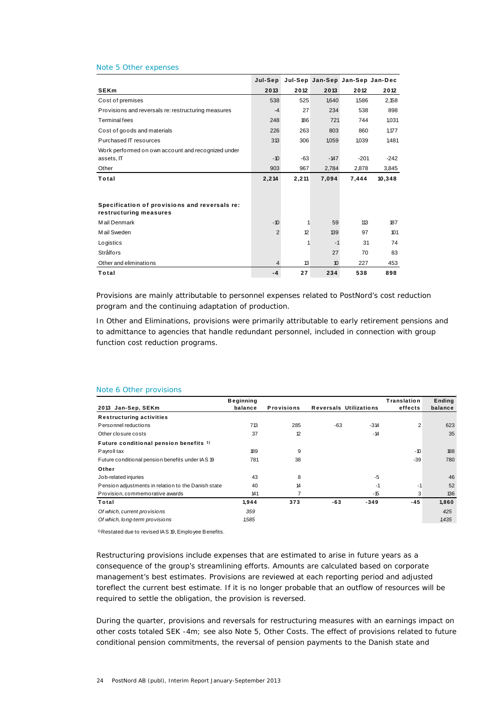#### Note 5 Other expenses

|                                                                         | Jul-Sep |       |        | Jul-Sep Jan-Sep Jan-Sep Jan-Dec |        |
|-------------------------------------------------------------------------|---------|-------|--------|---------------------------------|--------|
| <b>SEKm</b>                                                             | 2013    | 2012  | 2013   | 2012                            | 2012   |
| Cost of premises                                                        | 538     | 525   | 1,640  | 1,586                           | 2,158  |
| Provisions and reversals re: restructuring measures                     | $-4$    | 27    | 234    | 538                             | 898    |
| Terminal fees                                                           | 248     | 186   | 721    | 744                             | 1,031  |
| Cost of goods and materials                                             | 226     | 263   | 803    | 860                             | 1,177  |
| Purchased IT resources                                                  | 313     | 306   | 1,059  | 1,039                           | 1,481  |
| Work performed on own account and recognized under<br>assets, IT        | $-10$   | $-63$ | $-147$ | $-201$                          | $-242$ |
| Other                                                                   | 903     | 967   | 2,784  | 2,878                           | 3,845  |
| Total                                                                   | 2,214   | 2,211 | 7,094  | 7,444                           | 10,348 |
|                                                                         |         |       |        |                                 |        |
| Specification of provisions and reversals re:<br>restructuring measures |         |       |        |                                 |        |
| M ail Denmark                                                           | $-10$   | 1     | 59     | 113                             | 187    |
| M ail Sweden                                                            | 2       | 12    | 139    | 97                              | 101    |
| Logistics                                                               |         | 1     | $-1$   | 31                              | 74     |
| <b>Strålfors</b>                                                        |         |       | 27     | 70                              | 83     |
| Other and eliminations                                                  | 4       | 13    | 10     | 227                             | 453    |
| Total                                                                   | $-4$    | 27    | 234    | 538                             | 898    |

Provisions are mainly attributable to personnel expenses related to PostNord's cost reduction program and the continuing adaptation of production.

In Other and Eliminations, provisions were primarily attributable to early retirement pensions and to admittance to agencies that handle redundant personnel, included in connection with group function cost reduction programs.

|                                                     | <b>Beginning</b> |                   |       |                               | Translation | Ending  |
|-----------------------------------------------------|------------------|-------------------|-------|-------------------------------|-------------|---------|
| 2013 Jan-Sep, SEKm                                  | balance          | <b>Provisions</b> |       | <b>Reversals Utilizations</b> | effects     | balance |
| <b>Restructuring activities</b>                     |                  |                   |       |                               |             |         |
| Personnel reductions                                | 713              | 285               | $-63$ | $-314$                        | 2           | 623     |
| Other closure costs                                 | 37               | 12                |       | $-14$                         |             | 35      |
| Future conditional pension benefits 1)              |                  |                   |       |                               |             |         |
| Payroll tax                                         | 189              | 9                 |       |                               | $-10$       | 188     |
| Future conditional pension benefits under IAS 19    | 781              | 38                |       |                               | $-39$       | 780     |
| Other                                               |                  |                   |       |                               |             |         |
| Job-related injuries                                | 43               | 8                 |       | $-5$                          |             | 46      |
| Pension adjustments in relation to the Danish state | 40               | 14                |       | $-1$                          | -1          | 52      |
| Provision, commemorative awards                     | 141              | 7                 |       | $-15$                         | 3           | 136     |
| Total                                               | 1,944            | 373               | -63   | $-349$                        | $-45$       | 1,860   |
| Of which, current provisions                        | 359              |                   |       |                               |             | 425     |
| Of which, long-term provisions                      | 1,585            |                   |       |                               |             | 1,435   |

## Note 6 Other provisions

1) Restated due to revised IAS 19, Employee Benefits.

Restructuring provisions include expenses that are estimated to arise in future years as a consequence of the group's streamlining efforts. Amounts are calculated based on corporate management's best estimates. Provisions are reviewed at each reporting period and adjusted toreflect the current best estimate. If it is no longer probable that an outflow of resources will be required to settle the obligation, the provision is reversed.

During the quarter, provisions and reversals for restructuring measures with an earnings impact on other costs totaled SEK -4m; see also Note 5, Other Costs. The effect of provisions related to future conditional pension commitments, the reversal of pension payments to the Danish state and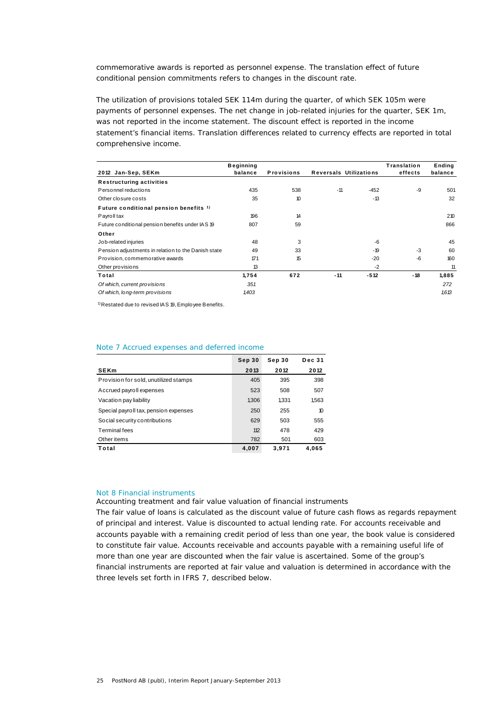commemorative awards is reported as personnel expense. The translation effect of future conditional pension commitments refers to changes in the discount rate.

The utilization of provisions totaled SEK 114m during the quarter, of which SEK 105m were payments of personnel expenses. The net change in job-related injuries for the quarter, SEK 1m, was not reported in the income statement. The discount effect is reported in the income statement's financial items. Translation differences related to currency effects are reported in total comprehensive income.

| 2012 Jan-Sep, SEKm                                  | <b>Beginning</b><br>balance | <b>Provisions</b> | <b>Reversals Utilizations</b> |        | Translation<br>effects | Ending<br>balance |
|-----------------------------------------------------|-----------------------------|-------------------|-------------------------------|--------|------------------------|-------------------|
| <b>Restructuring activities</b>                     |                             |                   |                               |        |                        |                   |
| Personnel reductions                                | 435                         | 538               | $-11$                         | $-452$ | $-9$                   | 501               |
| Other closure costs                                 | 35                          | 10                |                               | $-13$  |                        | 32                |
| Future conditional pension benefits 1)              |                             |                   |                               |        |                        |                   |
| Payroll tax                                         | 196                         | 14                |                               |        |                        | 210               |
| Future conditional pension benefits under IAS 19    | 807                         | 59                |                               |        |                        | 866               |
| Other                                               |                             |                   |                               |        |                        |                   |
| Job-related injuries                                | 48                          | 3                 |                               | $-6$   |                        | 45                |
| Pension adjustments in relation to the Danish state | 49                          | 33                |                               | $-19$  | $-3$                   | 60                |
| Provision, commemorative awards                     | 171                         | 15                |                               | $-20$  | -6                     | 160               |
| Other provisions                                    | 13                          |                   |                               | $-2$   |                        | 11                |
| Total                                               | 1,754                       | 672               | $-11$                         | $-512$ | -18                    | 1,885             |
| Of which, current provisions                        | 351                         |                   |                               |        |                        | 272               |
| Of which, long-term provisions                      | 1,403                       |                   |                               |        |                        | 1.613             |

1) Restated due to revised IAS 19, Employee Benefits.

### Note 7 Accrued expenses and deferred income

|                                       | Sep 30 | Sep 30 | <b>Dec 31</b>   |
|---------------------------------------|--------|--------|-----------------|
| <b>SEKm</b>                           | 2013   | 2012   | 2012            |
| Provision for sold, unutilized stamps | 405    | 395    | 398             |
| Accrued payroll expenses              | 523    | 508    | 507             |
| Vacation pay liability                | 1.306  | 1.331  | 1,563           |
| Special payroll tax, pension expenses | 250    | 255    | 10 <sup>2</sup> |
| Social security contributions         | 629    | 503    | 555             |
| Terminal fees                         | 112    | 478    | 429             |
| Other items                           | 782    | 501    | 603             |
| Total                                 | 4.007  | 3.971  | 4.065           |

## Not 8 Financial instruments

## *Accounting treatment and fair value valuation of financial instruments*

The fair value of loans is calculated as the discount value of future cash flows as regards repayment of principal and interest. Value is discounted to actual lending rate. For accounts receivable and accounts payable with a remaining credit period of less than one year, the book value is considered to constitute fair value. Accounts receivable and accounts payable with a remaining useful life of more than one year are discounted when the fair value is ascertained. Some of the group's financial instruments are reported at fair value and valuation is determined in accordance with the three levels set forth in IFRS 7, described below.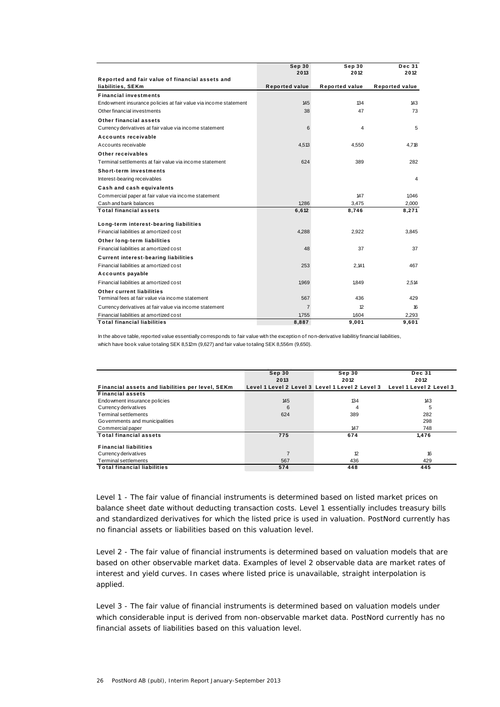|                                                                      | Sep 30                | Sep 30                | <b>Dec 31</b>         |
|----------------------------------------------------------------------|-----------------------|-----------------------|-----------------------|
|                                                                      | 2013                  | 2012                  | 2012                  |
| Reported and fair value of financial assets and<br>liabilities, SEKm | <b>Reported value</b> | <b>Reported value</b> | <b>Reported value</b> |
| <b>Financial investments</b>                                         |                       |                       |                       |
| Endo wment insurance policies at fair value via income statement     | 145                   | 134                   | 143                   |
| Other financial investments                                          | 38                    | 47                    | 73                    |
| Other financial assets                                               |                       |                       |                       |
| Currency derivatives at fair value via income statement              | 6                     | 4                     | 5                     |
| Accounts receivable                                                  |                       |                       |                       |
| Accounts receivable                                                  | 4,513                 | 4,550                 | 4,718                 |
| Other receivables                                                    |                       |                       |                       |
| Terminal settlements at fair value via income statement              | 624                   | 389                   | 282                   |
| <b>Short-term investments</b>                                        |                       |                       |                       |
| Interest-bearing receivables                                         |                       |                       | 4                     |
| Cash and cash equivalents                                            |                       |                       |                       |
| Commercial paper at fair value via income statement                  |                       | 147                   | 1,046                 |
| Cash and bank balances                                               | 1,286                 | 3,475                 | 2,000                 |
| <b>Total financial assets</b>                                        | 6,612                 | 8,746                 | 8,271                 |
| Long-term interest-bearing liabilities                               |                       |                       |                       |
| Financial liabilities at amortized cost                              | 4,288                 | 2,922                 | 3,845                 |
| Other long-term liabilities                                          |                       |                       |                       |
| Financial liabilities at amortized cost                              | 48                    | 37                    | 37                    |
| <b>Current interest-bearing liabilities</b>                          |                       |                       |                       |
| Financial liabilities at amortized cost                              | 253                   | 2,141                 | 467                   |
| Accounts payable                                                     |                       |                       |                       |
| Financial liabilities at amortized cost                              | 1,969                 | 1,849                 | 2,514                 |
| Other current liabilities                                            |                       |                       |                       |
| Terminal fees at fair value via income statement                     | 567                   | 436                   | 429                   |
| Currency derivatives at fair value via income statement              | $\overline{7}$        | 12                    | 16                    |
| Financial liabilities at amortized cost                              | 1,755                 | 1,604                 | 2,293                 |
| <b>Total financial liabilities</b>                                   | 8,887                 | 9.001                 | 9.601                 |

In the above table, reported value essentially corresponds to fair value with the exception of non-derivative liabilitiy financial liabilities, which have book value totaling SEK 8,512m (9,627) and fair value totaling SEK 8,556m (9,650).

|                                                  | Sep 30<br>2013 | Sep 30<br>2012                                  | <b>Dec 31</b><br>2012   |
|--------------------------------------------------|----------------|-------------------------------------------------|-------------------------|
| Financial assets and liabilities per level, SEKm |                | Level 1 Level 2 Level 3 Level 1 Level 2 Level 3 | Level 1 Level 2 Level 3 |
| <b>Financial assets</b>                          |                |                                                 |                         |
| Endo wment insurance policies                    | 145            | 134                                             | 143                     |
| Currency derivatives                             | 6              | 4                                               | 5                       |
| Terminal settlements                             | 624            | 389                                             | 282                     |
| Governments and municipalities                   |                |                                                 | 298                     |
| Commercial paper                                 |                | 147                                             | 748                     |
| <b>Total financial assets</b>                    | 775            | 674                                             | 1.476                   |
| <b>Financial liabilities</b>                     |                |                                                 |                         |
| Currency derivatives                             |                | 12                                              | 16                      |
| Terminal settlements                             | 567            | 436                                             | 429                     |
| <b>Total financial liabilities</b>               | 574            | 448                                             | 445                     |

Level 1 - The fair value of financial instruments is determined based on listed market prices on balance sheet date without deducting transaction costs. Level 1 essentially includes treasury bills and standardized derivatives for which the listed price is used in valuation. PostNord currently has no financial assets or liabilities based on this valuation level.

Level 2 - The fair value of financial instruments is determined based on valuation models that are based on other observable market data. Examples of level 2 observable data are market rates of interest and yield curves. In cases where listed price is unavailable, straight interpolation is applied.

Level 3 - The fair value of financial instruments is determined based on valuation models under which considerable input is derived from non-observable market data. PostNord currently has no financial assets of liabilities based on this valuation level.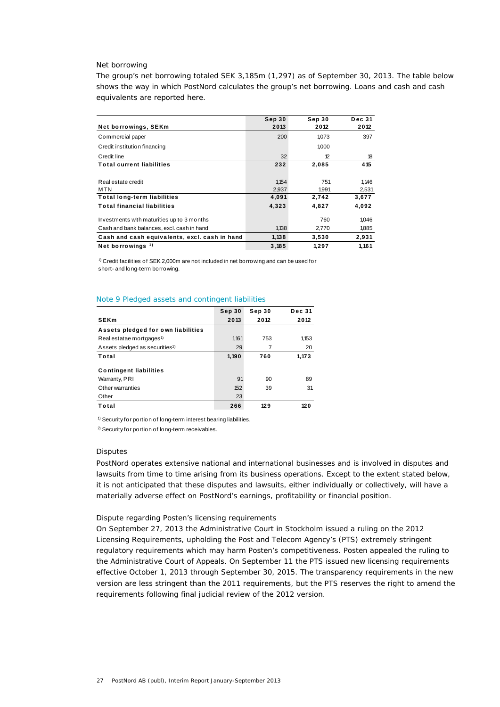### *Net borrowing*

The group's net borrowing totaled SEK 3,185m (1,297) as of September 30, 2013. The table below shows the way in which PostNord calculates the group's net borrowing. Loans and cash and cash equivalents are reported here.

|                                               | Sep 30 | Sep 30 | <b>Dec 31</b> |
|-----------------------------------------------|--------|--------|---------------|
| Net borrowings, SEKm                          | 2013   | 2012   | 2012          |
| Commercial paper                              | 200    | 1,073  | 397           |
| Credit institution financing                  |        | 1,000  |               |
| Credit line                                   | 32     | 12     | 18            |
| <b>Total current liabilities</b>              | 232    | 2,085  | 415           |
|                                               |        |        |               |
| Real estate credit                            | 1,154  | 751    | 1,146         |
| M TN                                          | 2.937  | 1.991  | 2,531         |
| <b>Total long-term liabilities</b>            | 4,091  | 2,742  | 3,677         |
| <b>Total financial liabilities</b>            | 4,323  | 4,827  | 4,092         |
| Investments with maturities up to 3 months    |        | 760    | 1,046         |
| Cash and bank balances, excl. cash in hand    | 1,138  | 2,770  | 1,885         |
| Cash and cash equivalents, excl. cash in hand | 1,138  | 3,530  | 2,931         |
| Net borrowings $1$ )                          | 3,185  | 1,297  | 1,161         |

1) Credit facilities of SEK 2,000m are not included in net borrowing and can be used for short- and long-term borrowing.

## Note 9 Pledged assets and contingent liabilities

|                                            | Sep 30 | Sep 30 | <b>Dec 31</b> |
|--------------------------------------------|--------|--------|---------------|
| <b>SEKm</b>                                | 2013   | 2012   | 2012          |
| Assets pledged for own liabilities         |        |        |               |
| Real estatae mortgages <sup>1)</sup>       | 1.161  | 753    | 1,153         |
| Assets pledged as securities <sup>2)</sup> | 29     | 7      | 20            |
| Total                                      | 1,190  | 760    | 1.173         |
| <b>Contingent liabilities</b>              |        |        |               |
| Warranty, PRI                              | 91     | 90     | 89            |
| Other warranties                           | 152    | 39     | 31            |
| Other                                      | 23     |        |               |
| Total                                      | 266    | 129    | 120           |

<sup>1)</sup> Security for portion of long-term interest bearing liabilities.

2) Security for portion of long-term receivables.

### *Disputes*

PostNord operates extensive national and international businesses and is involved in disputes and lawsuits from time to time arising from its business operations. Except to the extent stated below, it is not anticipated that these disputes and lawsuits, either individually or collectively, will have a materially adverse effect on PostNord's earnings, profitability or financial position.

## *Dispute regarding Posten's licensing requirements*

On September 27, 2013 the Administrative Court in Stockholm issued a ruling on the 2012 Licensing Requirements, upholding the Post and Telecom Agency's (PTS) extremely stringent regulatory requirements which may harm Posten's competitiveness. Posten appealed the ruling to the Administrative Court of Appeals. On September 11 the PTS issued new licensing requirements effective October 1, 2013 through September 30, 2015. The transparency requirements in the new version are less stringent than the 2011 requirements, but the PTS reserves the right to amend the requirements following final judicial review of the 2012 version.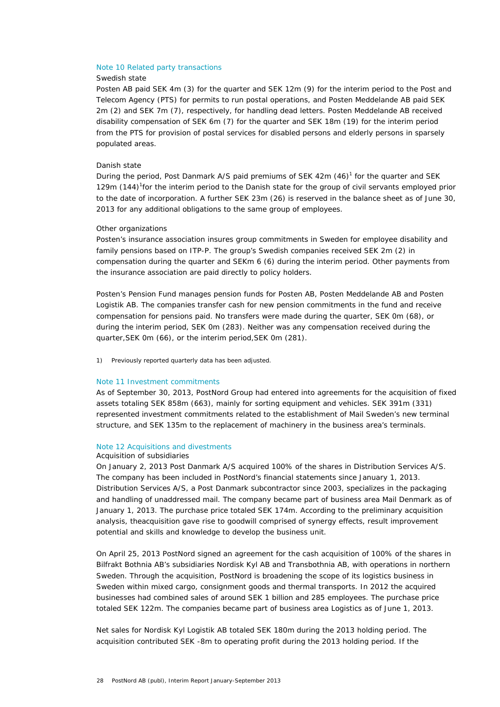### Note 10 Related party transactions

## *Swedish state*

Posten AB paid SEK 4m (3) for the quarter and SEK 12m (9) for the interim period to the Post and Telecom Agency (PTS) for permits to run postal operations, and Posten Meddelande AB paid SEK 2m (2) and SEK 7m (7), respectively, for handling dead letters. Posten Meddelande AB received disability compensation of SEK 6m (7) for the quarter and SEK 18m (19) for the interim period from the PTS for provision of postal services for disabled persons and elderly persons in sparsely populated areas.

## *Danish state*

During the period, Post Danmark A/S paid premiums of SEK  $42m (46)^1$  for the quarter and SEK 129m (144)<sup>1</sup> for the interim period to the Danish state for the group of civil servants employed prior to the date of incorporation. A further SEK 23m (26) is reserved in the balance sheet as of June 30, 2013 for any additional obligations to the same group of employees.

#### *Other organizations*

Posten's insurance association insures group commitments in Sweden for employee disability and family pensions based on ITP-P. The group's Swedish companies received SEK 2m (2) in compensation during the quarter and SEKm 6 (6) during the interim period. Other payments from the insurance association are paid directly to policy holders.

Posten's Pension Fund manages pension funds for Posten AB, Posten Meddelande AB and Posten Logistik AB. The companies transfer cash for new pension commitments in the fund and receive compensation for pensions paid. No transfers were made during the quarter, SEK 0m (68), or during the interim period, SEK 0m (283). Neither was any compensation received during the quarter,SEK 0m (66), or the interim period,SEK 0m (281).

1) Previously reported quarterly data has been adjusted.

### Note 11 Investment commitments

As of September 30, 2013, PostNord Group had entered into agreements for the acquisition of fixed assets totaling SEK 858m (663), mainly for sorting equipment and vehicles. SEK 391m (331) represented investment commitments related to the establishment of Mail Sweden's new terminal structure, and SEK 135m to the replacement of machinery in the business area's terminals.

## Note 12 Acquisitions and divestments

### *Acquisition of subsidiaries*

On January 2, 2013 Post Danmark A/S acquired 100% of the shares in Distribution Services A/S. The company has been included in PostNord's financial statements since January 1, 2013. Distribution Services A/S, a Post Danmark subcontractor since 2003, specializes in the packaging and handling of unaddressed mail. The company became part of business area Mail Denmark as of January 1, 2013. The purchase price totaled SEK 174m. According to the preliminary acquisition analysis, theacquisition gave rise to goodwill comprised of synergy effects, result improvement potential and skills and knowledge to develop the business unit.

On April 25, 2013 PostNord signed an agreement for the cash acquisition of 100% of the shares in Bilfrakt Bothnia AB's subsidiaries Nordisk Kyl AB and Transbothnia AB, with operations in northern Sweden. Through the acquisition, PostNord is broadening the scope of its logistics business in Sweden within mixed cargo, consignment goods and thermal transports. In 2012 the acquired businesses had combined sales of around SEK 1 billion and 285 employees. The purchase price totaled SEK 122m. The companies became part of business area Logistics as of June 1, 2013.

Net sales for Nordisk Kyl Logistik AB totaled SEK 180m during the 2013 holding period. The acquisition contributed SEK -8m to operating profit during the 2013 holding period. If the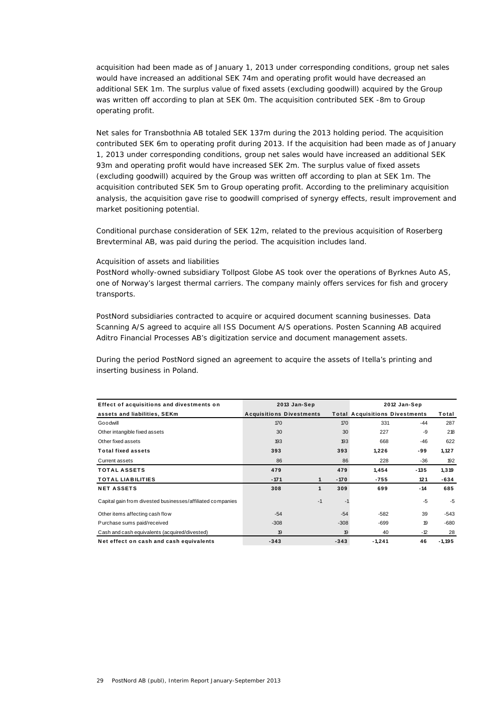acquisition had been made as of January 1, 2013 under corresponding conditions, group net sales would have increased an additional SEK 74m and operating profit would have decreased an additional SEK 1m. The surplus value of fixed assets (excluding goodwill) acquired by the Group was written off according to plan at SEK 0m. The acquisition contributed SEK -8m to Group operating profit.

Net sales for Transbothnia AB totaled SEK 137m during the 2013 holding period. The acquisition contributed SEK 6m to operating profit during 2013. If the acquisition had been made as of January 1, 2013 under corresponding conditions, group net sales would have increased an additional SEK 93m and operating profit would have increased SEK 2m. The surplus value of fixed assets (excluding goodwill) acquired by the Group was written off according to plan at SEK 1m. The acquisition contributed SEK 5m to Group operating profit. According to the preliminary acquisition analysis, the acquisition gave rise to goodwill comprised of synergy effects, result improvement and market positioning potential.

Conditional purchase consideration of SEK 12m, related to the previous acquisition of Roserberg Brevterminal AB, was paid during the period. The acquisition includes land.

## *Acquisition of assets and liabilities*

PostNord wholly-owned subsidiary Tollpost Globe AS took over the operations of Byrknes Auto AS, one of Norway's largest thermal carriers. The company mainly offers services for fish and grocery transports.

PostNord subsidiaries contracted to acquire or acquired document scanning businesses. Data Scanning A/S agreed to acquire all ISS Document A/S operations. Posten Scanning AB acquired Aditro Financial Processes AB's digitization service and document management assets.

During the period PostNord signed an agreement to acquire the assets of Itella's printing and inserting business in Poland.

| Effect of acquisitions and divestments on                  | 2013 Jan-Sep                    |              |        | 2012 Jan-Sep                          |        |           |
|------------------------------------------------------------|---------------------------------|--------------|--------|---------------------------------------|--------|-----------|
| assets and liabilities, SEKm                               | <b>Acquisitions Divestments</b> |              |        | <b>Total Acquisitions Divestments</b> |        | Total     |
| Goodwill                                                   | 170                             |              | 170    | 331                                   | $-44$  | 287       |
| Other intangible fixed assets                              | 30                              |              | 30     | 227                                   | -9     | 218       |
| Other fixed assets                                         | 193                             |              | 193    | 668                                   | $-46$  | 622       |
| <b>Total fixed assets</b>                                  | 393                             |              | 393    | 1,226                                 | -99    | 1,127     |
| Current assets                                             | 86                              |              | 86     | 228                                   | $-36$  | 192       |
| <b>TOTAL ASSETS</b>                                        | 479                             |              | 479    | 1,454                                 | $-135$ | 1,319     |
| <b>TOTAL LIABILITIES</b>                                   | $-171$                          | $\mathbf{1}$ | $-170$ | $-755$                                | 121    | -634      |
| <b>NET ASSETS</b>                                          | 308                             | 1            | 309    | 699                                   | $-14$  | 685       |
| Capital gain from divested businesses/affiliated companies |                                 | $-1$         | $-1$   |                                       | $-5$   | $-5$      |
| Other items affecting cash flow                            | $-54$                           |              | $-54$  | $-582$                                | 39     | $-543$    |
| Purchase sums paid/received                                | $-308$                          |              | $-308$ | $-699$                                | 19     | $-680$    |
| Cash and cash equivalents (acquired/divested)              | 19                              |              | 19     | 40                                    | $-12$  | 28        |
| Net effect on cash and cash equivalents                    | $-343$                          |              | $-343$ | $-1.241$                              | 46     | $-1, 195$ |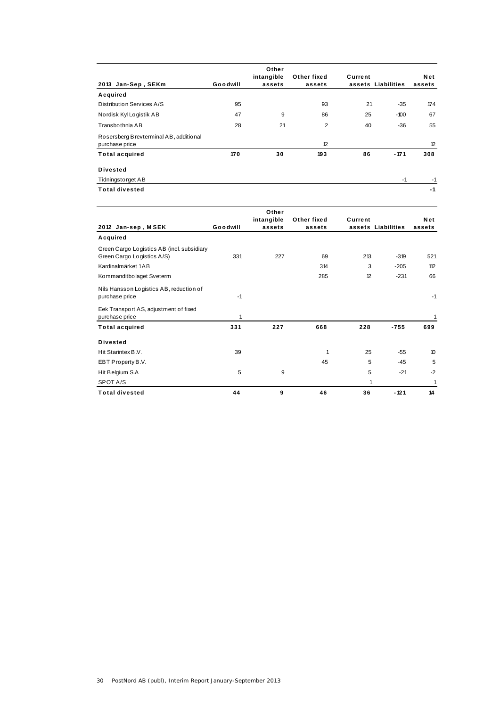| 2013 Jan-Sep, SEKm                                       | Goodwill | Other<br>intangible<br>assets | Other fixed<br>assets | Current | assets Liabilities | Net<br>assets |
|----------------------------------------------------------|----------|-------------------------------|-----------------------|---------|--------------------|---------------|
| Acquired                                                 |          |                               |                       |         |                    |               |
| Distribution Services A/S                                | 95       |                               | 93                    | 21      | $-35$              | 174           |
| Nordisk Kyl Logistik AB                                  | 47       | 9                             | 86                    | 25      | $-100$             | 67            |
| Transbothnia AB                                          | 28       | 21                            | $\overline{2}$        | 40      | $-36$              | 55            |
| Rosersberg Brevterminal AB, additional<br>purchase price |          |                               | 12                    |         |                    | 12            |
| <b>Total acquired</b>                                    | 170      | 30                            | 193                   | 86      | $-171$             | 308           |
| <b>Divested</b>                                          |          |                               |                       |         |                    |               |
| Tidningstorget AB                                        |          |                               |                       |         | $-1$               | $-1$          |
| <b>Total divested</b>                                    |          |                               |                       |         |                    | $-1$          |

|                                                                          |          | Other<br>intangible | Other fixed | Current |                    | Net                 |
|--------------------------------------------------------------------------|----------|---------------------|-------------|---------|--------------------|---------------------|
| 2012 Jan-sep, MSEK                                                       | Goodwill | assets              | assets      |         | assets Liabilities | assets              |
| Acquired                                                                 |          |                     |             |         |                    |                     |
| Green Cargo Logistics AB (incl. subsidiary<br>Green Cargo Logistics A/S) | 331      | 227                 | 69          | 213     | $-319$             | 521                 |
| Kardinalmärket 1AB                                                       |          |                     | 314         | 3       | $-205$             | 112                 |
| Kommanditbolaget Sveterm                                                 |          |                     | 285         | 12      | $-231$             | 66                  |
| Nils Hansson Logistics AB, reduction of<br>purchase price                | $-1$     |                     |             |         |                    | $-1$                |
| Eek Transport AS, adjustment of fixed<br>purchase price                  | 1        |                     |             |         |                    | 1                   |
| <b>Total acquired</b>                                                    | 331      | 227                 | 668         | 228     | $-755$             | 699                 |
| <b>Divested</b>                                                          |          |                     |             |         |                    |                     |
| Hit Starintex B.V.                                                       | 39       |                     | 1           | 25      | $-55$              | $\boldsymbol{\eta}$ |
| EBT Property B.V.                                                        |          |                     | 45          | 5       | $-45$              | 5                   |
| Hit Belgium S.A                                                          | 5        | 9                   |             | 5       | $-21$              | $-2$                |
| SPOT A/S                                                                 |          |                     |             |         |                    | 1                   |
| <b>Total divested</b>                                                    | 44       | 9                   | 46          | 36      | $-121$             | 14                  |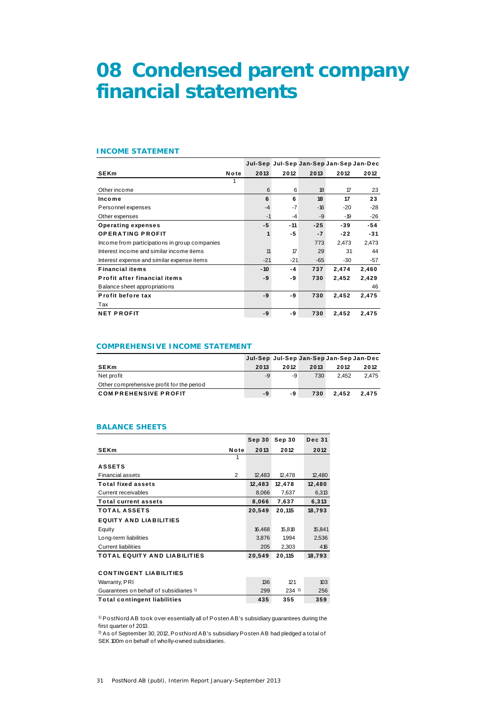## **08 Condensed parent company financial statements**

## **INCOME STATEMENT**

|                                               |      |       |              |       | Jul-Sep Jul-Sep Jan-Sep Jan-Sep Jan-Dec |       |
|-----------------------------------------------|------|-------|--------------|-------|-----------------------------------------|-------|
| <b>SEKm</b>                                   | Note | 2013  | 2012         | 2013  | 2012                                    | 2012  |
|                                               |      |       |              |       |                                         |       |
| Other income                                  |      | 6     | 6            | 18    | 17                                      | 23    |
| Income                                        |      | 6     | 6            | 18    | 17                                      | 23    |
| Personnel expenses                            |      | $-4$  | $-7$         | $-16$ | $-20$                                   | $-28$ |
| Other expenses                                |      | $-1$  | $-4$         | -9    | - 19                                    | $-26$ |
| <b>Operating expenses</b>                     |      | -5    | $-11$        | $-25$ | $-39$                                   | -54   |
| <b>OPERATING PROFIT</b>                       |      | 1     | -5           | $-7$  | $-22$                                   | $-31$ |
| Income from participations in group companies |      |       |              | 773   | 2,473                                   | 2,473 |
| Interest income and similar income items      |      | 11    | $\mathcal T$ | 29    | 31                                      | 44    |
| Interest expense and similar expense items    |      | $-21$ | $-21$        | -65   | $-30$                                   | $-57$ |
| <b>Financial items</b>                        |      | $-10$ | -4           | 737   | 2,474                                   | 2,460 |
| Profit after financial items                  |      | -9    | -9           | 730   | 2,452                                   | 2,429 |
| Balance sheet appropriations                  |      |       |              |       |                                         | 46    |
| Profit before tax                             |      | -9    | -9           | 730   | 2,452                                   | 2,475 |
| Tax                                           |      |       |              |       |                                         |       |
| <b>NET PROFIT</b>                             |      | -9    | -9           | 730   | 2,452                                   | 2,475 |

## **COMPREHENSIVE INCOME STATEMENT**

|                                           |      |      |      | Jul-Sep Jul-Sep Jan-Sep Jan-Sep Jan-Dec |       |
|-------------------------------------------|------|------|------|-----------------------------------------|-------|
| <b>SEKm</b>                               | 2013 | 2012 | 2013 | 2012                                    | 2012  |
| Net profit                                | -9   | -9   | 730  | 2.452                                   | 2.475 |
| Other comprehensive profit for the period |      |      |      |                                         |       |
| <b>COMPREHENSIVE PROFIT</b>               | -9   | -9   | 730  | 2.452                                   | 2.475 |

### **BALANCE SHEETS**

|                                                    |      | Sep 30 | Sep 30 | <b>Dec 31</b> |
|----------------------------------------------------|------|--------|--------|---------------|
| <b>SEKm</b>                                        | Note | 2013   | 2012   | 2012          |
|                                                    | 1    |        |        |               |
| <b>ASSETS</b>                                      |      |        |        |               |
| <b>Financial assets</b>                            | 2    | 12,483 | 12,478 | 12,480        |
| <b>Total fixed assets</b>                          |      | 12,483 | 12,478 | 12,480        |
| Current receivables                                |      | 8,066  | 7,637  | 6,313         |
| <b>Total current assets</b>                        |      | 8,066  | 7,637  | 6,313         |
| <b>TOTAL ASSETS</b>                                |      | 20,549 | 20,115 | 18,793        |
| <b>EQUITY AND LIABILITIES</b>                      |      |        |        |               |
| Equity                                             |      | 16,468 | 15,818 | 15,841        |
| Long-term liabilities                              |      | 3,876  | 1,994  | 2,536         |
| <b>Current liabilities</b>                         |      | 205    | 2,303  | 416           |
| <b>TOTAL EQUITY AND LIABILITIES</b>                |      | 20,549 | 20,115 | 18,793        |
|                                                    |      |        |        |               |
| <b>CONTINGENT LIABILITIES</b>                      |      |        |        |               |
| Warranty, PRI                                      |      | 136    | 121    | 103           |
| Guarantees on behalf of subsidiaries <sup>1)</sup> |      | 299    | 2342   | 256           |
| <b>Total contingent liabilities</b>                |      | 435    | 355    | 359           |

1) PostNord AB took over essentially all of Posten AB's subsidiary guarantees during the first quarter of 2013.

2) As of September 30, 2012, PostNord AB's subsidiary Posten AB had pledged a total of SEK 100m on behalf of wholly-owned subsidiaries.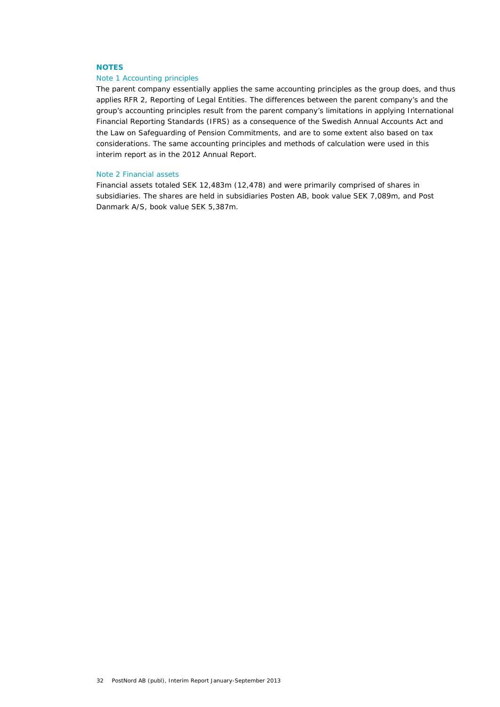## **NOTES**

## Note 1 Accounting principles

The parent company essentially applies the same accounting principles as the group does, and thus applies RFR 2, Reporting of Legal Entities. The differences between the parent company's and the group's accounting principles result from the parent company's limitations in applying International Financial Reporting Standards (IFRS) as a consequence of the Swedish Annual Accounts Act and the Law on Safeguarding of Pension Commitments, and are to some extent also based on tax considerations. The same accounting principles and methods of calculation were used in this interim report as in the 2012 Annual Report.

#### Note 2 Financial assets

Financial assets totaled SEK 12,483m (12,478) and were primarily comprised of shares in subsidiaries. The shares are held in subsidiaries Posten AB, book value SEK 7,089m, and Post Danmark A/S, book value SEK 5,387m.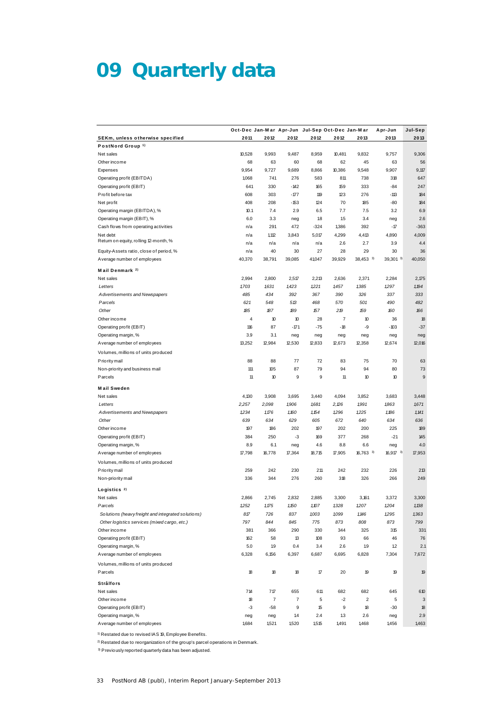# **09 Quarterly data**

|                                                    | Oct-Dec Jan-Mar Apr-Jun Jul-Sep Oct-Dec Jan-Mar |        |        |                     |        |                         | Apr-Jun     | Jul-Sep |
|----------------------------------------------------|-------------------------------------------------|--------|--------|---------------------|--------|-------------------------|-------------|---------|
| <b>SEKm, unless otherwise specified</b>            | 2011                                            | 2012   | 2012   | 2012                | 2012   | 2013                    | 2013        | 2013    |
| PostNord Group <sup>1)</sup>                       |                                                 |        |        |                     |        |                         |             |         |
| Net sales                                          | 10,528                                          | 9,993  | 9,487  | 8,959               | 10,481 | 9,832                   | 9,757       | 9,306   |
| Other income                                       | 68                                              | 63     | 60     | 68                  | 62     | 45                      | 63          | 56      |
| Expenses                                           | 9,954                                           | 9,727  | 9,689  | 8,866               | 10,386 | 9,548                   | 9,907       | 9,117   |
| Operating profit (EBITDA)                          | 1,068                                           | 741    | 276    | 583                 | 811    | 738                     | 318         | 647     |
| Operating profit (EBIT)                            | 641                                             | 330    | $-142$ | 165                 | 159    | 333                     | $-84$       | 247     |
| Profit before tax                                  | 608                                             | 303    | $-177$ | 119                 | 123    | 276                     | $-113$      | 184     |
| Net profit                                         | 408                                             | 208    | -153   | 124                 | 70     | 185                     | -80         | 184     |
| Operating margin (EBITDA), %                       | 10.1                                            | 7.4    | 2.9    | 6.5                 | 7.7    | 7.5                     | 3.2         | 6.9     |
| Operating margin (EBIT), %                         | 6.0                                             | 3.3    | neg    | 1.8                 | 1.5    | 3.4                     | neg         | 2.6     |
| Cash flows from operating activities               | n/a                                             | 291    | 472    | $-324$              | 1,386  | 392                     | $-17$       | $-363$  |
| Net debt                                           | n/a                                             | 1,112  | 3,843  | 5,017               | 4,299  | 4,413                   | 4,890       | 4,009   |
| Return on equity, rolling 12-month, %              | n/a                                             | n/a    | n/a    | n/a                 | 2.6    | 2.7                     | 3.9         | 4.4     |
| Equity-Assets ratio, close of period, %            | n/a                                             | 40     | 30     | 27                  | 28     | 29                      | 30          | 36      |
| A verage number of employees                       | 40,370                                          | 38,791 | 39,085 | 41,047              | 39,929 | 38,453 3                | 39,301 3)   | 40,050  |
| Mail Denmark <sup>2)</sup>                         |                                                 |        |        |                     |        |                         |             |         |
| Net sales                                          | 2,994                                           | 2,800  | 2,517  | 2,213               | 2,636  | 2,371                   | 2,284       | 2,175   |
| Letters                                            | 1,703                                           | 1631   | 1,423  | 1,221               | 1,457  | 1,385                   | 1,297       | 1,194   |
| Advertisements and Newspapers                      | 485                                             | 434    | 392    | 367                 | 390    | 326                     | 337         | 333     |
| Parcels                                            | 621                                             | 548    | 513    | 468                 | 570    | 501                     | 490         | 482     |
| Other                                              | 185                                             | 187    | 189    | 157                 | 219    | 159                     | 160         | 166     |
| Other income                                       | 4                                               | 10     | 10     | 28                  | 7      | 10                      | 36          | 18      |
| Operating profit (EBIT)                            | 116                                             | 87     | $-171$ | $-75$               | $-18$  | -9                      | $-103$      | $-37$   |
| Operating margin, %                                | 3.9                                             | 3.1    | neg    | neg                 | neg    | neg                     | neg         | neg     |
| A verage number of employees                       | 13,252                                          | 12,984 | 12,530 | 12,833              | 12,673 | 12,358                  | 12,674      | 12,016  |
|                                                    |                                                 |        |        |                     |        |                         |             |         |
| Volumes, millions of units produced                |                                                 |        |        |                     |        |                         |             |         |
| P rio rity mail                                    | 88                                              | 88     | 77     | 72                  | 83     | 75                      | 70          | 63      |
| Non-priority and business mail                     | 111                                             | 105    | 87     | 79                  | 94     | 94                      | 80          | 73      |
| Parcels                                            | 11                                              | 10     | 9      | 9                   | 11     | 10                      | 10          | 9       |
| <b>Mail Sweden</b>                                 |                                                 |        |        |                     |        |                         |             |         |
| Net sales                                          | 4,130                                           | 3,908  | 3,695  | 3,440               | 4,094  | 3,852                   | 3,683       | 3,448   |
| Letters                                            | 2,257                                           | 2,098  | 1,906  | 1,681               | 2,26   | 1,991                   | 1863        | 1,671   |
| Advertisements and Newspapers                      | 1234                                            | 1.176  | 1,160  | 1,154               | 1,296  | 1,225                   | 1,186       | 1,141   |
| Other                                              | 639                                             | 634    | 629    | 605                 | 672    | 640                     | 634         | 636     |
| Other income                                       | 197                                             | 186    | 202    | 197                 | 202    | 200                     | 225         | 189     |
| Operating profit (EBIT)                            | 384                                             | 250    | -3     | 169                 | 377    | 268                     | $-21$       | 145     |
| Operating margin, %                                | 8.9                                             | 6.1    | neg    | 4.6                 | 8.8    | 6.6                     | neg         | 4.0     |
| A verage number of employees                       | 17,798                                          | 16,778 | 17,364 | 18,715              | 17,905 | $16,763$ 3              | $16,917$ 3) | 17,953  |
| Volumes, millions of units produced                |                                                 |        |        |                     |        |                         |             |         |
| P rio rity mail                                    | 259                                             | 242    | 230    | 211                 | 242    | 232                     | 226         | 213     |
| Non-priority mail                                  | 336                                             | 344    | 276    | 260                 | 318    | 326                     | 266         | 249     |
|                                                    |                                                 |        |        |                     |        |                         |             |         |
| Logistics $2)$                                     |                                                 |        |        |                     |        |                         |             |         |
| Net sales                                          | 2,866                                           | 2,745  | 2,832  | 2,885               | 3,300  | 3,161                   | 3,372       | 3,300   |
| Parcels                                            | 1252                                            | 1,175  | 1,150  | 1,107               | 1,328  | 1,207                   | 1,204       | 1,138   |
| Solutions (heavy freight and integrated solutions) | 817                                             | 726    | 837    | 1,003               | 1,099  | 1,146                   | 1,295       | 1,363   |
| Other logistics services (mixed cargo, etc.)       | 797                                             | 844    | 845    | 775                 | 873    | 808                     | 873         | 799     |
| Other income                                       | 381                                             | 366    | 290    | 330                 | 344    | 325                     | 315         | 331     |
| Operating profit (EBIT)                            | 162                                             | 58     | 13     | 108                 | 93     | 66                      | 46          | 76      |
| Operating margin, %                                | 5.0                                             | 19     | 0.4    | 3.4                 | 2.6    | 1.9                     | 1.2         | 2.1     |
| A verage number of employees                       | 6,328                                           | 6,156  | 6,397  | 6,687               | 6,695  | 6,828                   | 7,304       | 7,672   |
| Volumes, millions of units produced                |                                                 |        |        |                     |        |                         |             |         |
| Parcels                                            | 18                                              | 18     | 18     | $\pmb{\mathcal{T}}$ | 20     | 19                      | 19          | 19      |
|                                                    |                                                 |        |        |                     |        |                         |             |         |
| Strålfors                                          |                                                 |        |        |                     |        |                         |             |         |
| Net sales                                          | 714                                             | 717    | 655    | 611                 | 682    | 682                     | 645         | 610     |
| Other income                                       | 18                                              | 7      | 7      | 5                   | $-2$   | $\overline{\mathbf{c}}$ | 5           | 3       |
| Operating profit (EBIT)                            | $-3$                                            | -58    | 9      | 15                  | 9      | 18                      | $-30$       | 18      |
| Operating margin, %                                | neg                                             | neg    | 14     | 2.4                 | 1.3    | 2.6                     | neg         | 2.9     |
| A verage number of employees                       | 1,684                                           | 1,521  | 1,520  | 1,515               | 1,491  | 1,468                   | 1,456       | 1,463   |

1) Restated due to revised IAS 19, Employee Benefits.

2) Restated due to reorganization of the group's parcel operations in Denmark.

3) Previously reported quarterly data has been adjusted.